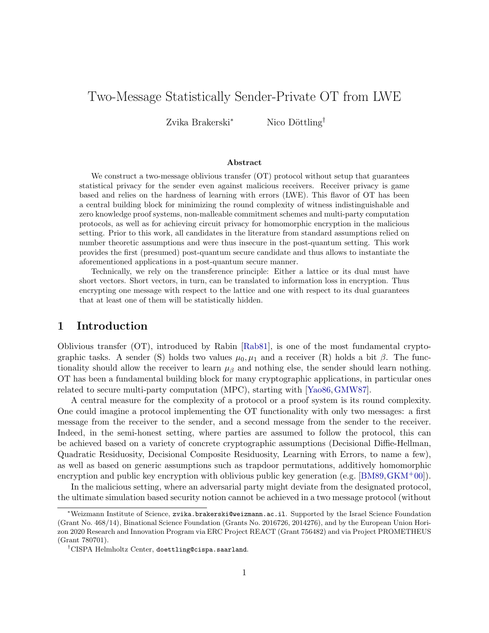# Two-Message Statistically Sender-Private OT from LWE

Zvika Brakerski<sup>∗</sup> Nico Döttling<sup>†</sup>

### Abstract

We construct a two-message oblivious transfer (OT) protocol without setup that guarantees statistical privacy for the sender even against malicious receivers. Receiver privacy is game based and relies on the hardness of learning with errors (LWE). This flavor of OT has been a central building block for minimizing the round complexity of witness indistinguishable and zero knowledge proof systems, non-malleable commitment schemes and multi-party computation protocols, as well as for achieving circuit privacy for homomorphic encryption in the malicious setting. Prior to this work, all candidates in the literature from standard assumptions relied on number theoretic assumptions and were thus insecure in the post-quantum setting. This work provides the first (presumed) post-quantum secure candidate and thus allows to instantiate the aforementioned applications in a post-quantum secure manner.

Technically, we rely on the transference principle: Either a lattice or its dual must have short vectors. Short vectors, in turn, can be translated to information loss in encryption. Thus encrypting one message with respect to the lattice and one with respect to its dual guarantees that at least one of them will be statistically hidden.

### 1 Introduction

Oblivious transfer (OT), introduced by Rabin [\[Rab81\]](#page-16-0), is one of the most fundamental cryptographic tasks. A sender (S) holds two values  $\mu_0, \mu_1$  and a receiver (R) holds a bit  $\beta$ . The functionality should allow the receiver to learn  $\mu_{\beta}$  and nothing else, the sender should learn nothing. OT has been a fundamental building block for many cryptographic applications, in particular ones related to secure multi-party computation (MPC), starting with [\[Yao86,](#page-17-0)[GMW87\]](#page-15-0).

A central measure for the complexity of a protocol or a proof system is its round complexity. One could imagine a protocol implementing the OT functionality with only two messages: a first message from the receiver to the sender, and a second message from the sender to the receiver. Indeed, in the semi-honest setting, where parties are assumed to follow the protocol, this can be achieved based on a variety of concrete cryptographic assumptions (Decisional Diffie-Hellman, Quadratic Residuosity, Decisional Composite Residuosity, Learning with Errors, to name a few), as well as based on generic assumptions such as trapdoor permutations, additively homomorphic encryption and public key encryption with oblivious public key generation (e.g.  $[BMS9, \text{GKM}^+00]$  $[BMS9, \text{GKM}^+00]$  $[BMS9, \text{GKM}^+00]$ ).

In the malicious setting, where an adversarial party might deviate from the designated protocol, the ultimate simulation based security notion cannot be achieved in a two message protocol (without

<sup>∗</sup>Weizmann Institute of Science, zvika.brakerski@weizmann.ac.il. Supported by the Israel Science Foundation (Grant No. 468/14), Binational Science Foundation (Grants No. 2016726, 2014276), and by the European Union Horizon 2020 Research and Innovation Program via ERC Project REACT (Grant 756482) and via Project PROMETHEUS (Grant 780701).

<sup>†</sup>CISPA Helmholtz Center, doettling@cispa.saarland.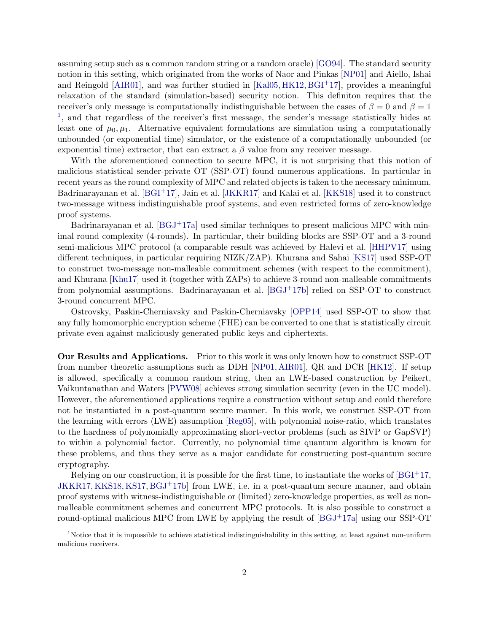assuming setup such as a common random string or a random oracle) [\[GO94\]](#page-15-2). The standard security notion in this setting, which originated from the works of Naor and Pinkas [\[NP01\]](#page-16-1) and Aiello, Ishai and Reingold [\[AIR01\]](#page-14-1), and was further studied in [\[Kal05,](#page-15-3) [HK12,](#page-15-4) [BGI](#page-14-2)<sup>+</sup>17], provides a meaningful relaxation of the standard (simulation-based) security notion. This definiton requires that the receiver's only message is computationally indistinguishable between the cases of  $\beta = 0$  and  $\beta = 1$ <sup>[1](#page-1-0)</sup>, and that regardless of the receiver's first message, the sender's message statistically hides at least one of  $\mu_0, \mu_1$ . Alternative equivalent formulations are simulation using a computationally unbounded (or exponential time) simulator, or the existence of a computationally unbounded (or exponential time) extractor, that can extract a  $\beta$  value from any receiver message.

With the aforementioned connection to secure MPC, it is not surprising that this notion of malicious statistical sender-private OT (SSP-OT) found numerous applications. In particular in recent years as the round complexity of MPC and related objects is taken to the necessary minimum. Badrinarayanan et al. [\[BGI](#page-14-2)+17], Jain et al. [\[JKKR17\]](#page-15-5) and Kalai et al. [\[KKS18\]](#page-16-2) used it to construct two-message witness indistinguishable proof systems, and even restricted forms of zero-knowledge proof systems.

Badrinarayanan et al.  $[BGJ^+17a]$  $[BGJ^+17a]$  used similar techniques to present malicious MPC with minimal round complexity (4-rounds). In particular, their building blocks are SSP-OT and a 3-round semi-malicious MPC protocol (a comparable result was achieved by Halevi et al. [\[HHPV17\]](#page-15-6) using different techniques, in particular requiring NIZK/ZAP). Khurana and Sahai [\[KS17\]](#page-16-3) used SSP-OT to construct two-message non-malleable commitment schemes (with respect to the commitment), and Khurana [\[Khu17\]](#page-15-7) used it (together with ZAPs) to achieve 3-round non-malleable commitments from polynomial assumptions. Badrinarayanan et al.  $[BGJ^+17b]$  $[BGJ^+17b]$  relied on SSP-OT to construct 3-round concurrent MPC.

Ostrovsky, Paskin-Cherniavsky and Paskin-Cherniavsky [\[OPP14\]](#page-16-4) used SSP-OT to show that any fully homomorphic encryption scheme (FHE) can be converted to one that is statistically circuit private even against maliciously generated public keys and ciphertexts.

Our Results and Applications. Prior to this work it was only known how to construct SSP-OT from number theoretic assumptions such as DDH [\[NP01,](#page-16-1) [AIR01\]](#page-14-1), QR and DCR [\[HK12\]](#page-15-4). If setup is allowed, specifically a common random string, then an LWE-based construction by Peikert, Vaikuntanathan and Waters [\[PVW08\]](#page-16-5) achieves strong simulation security (even in the UC model). However, the aforementioned applications require a construction without setup and could therefore not be instantiated in a post-quantum secure manner. In this work, we construct SSP-OT from the learning with errors (LWE) assumption [\[Reg05\]](#page-17-1), with polynomial noise-ratio, which translates to the hardness of polynomially approximating short-vector problems (such as SIVP or GapSVP) to within a polynomial factor. Currently, no polynomial time quantum algorithm is known for these problems, and thus they serve as a major candidate for constructing post-quantum secure cryptography.

Relying on our construction, it is possible for the first time, to instantiate the works of  $[{\rm BGI^+17}]$ , [JKKR17,](#page-15-5) [KKS18,](#page-16-2) [KS17,](#page-16-3) [BGJ](#page-14-4)+17b] from LWE, i.e. in a post-quantum secure manner, and obtain proof systems with witness-indistinguishable or (limited) zero-knowledge properties, as well as nonmalleable commitment schemes and concurrent MPC protocols. It is also possible to construct a round-optimal malicious MPC from LWE by applying the result of  $[BGJ^+17a]$  $[BGJ^+17a]$  using our SSP-OT

<span id="page-1-0"></span><sup>&</sup>lt;sup>1</sup>Notice that it is impossible to achieve statistical indistinguishability in this setting, at least against non-uniform malicious receivers.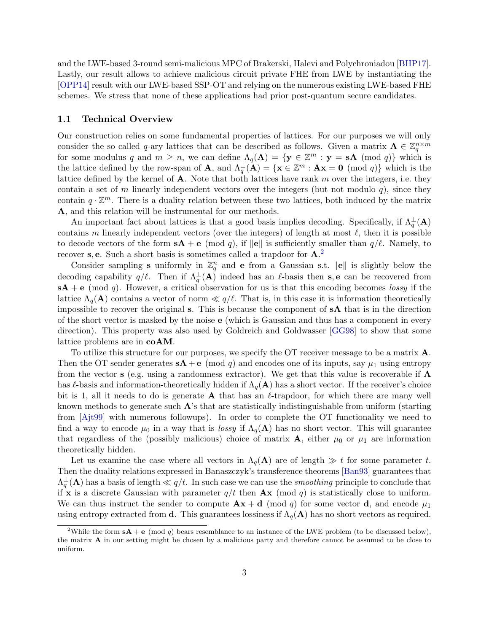and the LWE-based 3-round semi-malicious MPC of Brakerski, Halevi and Polychroniadou [\[BHP17\]](#page-14-5). Lastly, our result allows to achieve malicious circuit private FHE from LWE by instantiating the [\[OPP14\]](#page-16-4) result with our LWE-based SSP-OT and relying on the numerous existing LWE-based FHE schemes. We stress that none of these applications had prior post-quantum secure candidates.

### 1.1 Technical Overview

Our construction relies on some fundamental properties of lattices. For our purposes we will only consider the so called q-ary lattices that can be described as follows. Given a matrix  $\mathbf{A} \in \mathbb{Z}_q^{n \times m}$ for some modulus q and  $m \geq n$ , we can define  $\Lambda_q(\mathbf{A}) = \{ \mathbf{y} \in \mathbb{Z}^m : \mathbf{y} = \mathbf{s} \mathbf{A} \pmod{q} \}$  which is the lattice defined by the row-span of **A**, and  $\Lambda_q^{\perp}(\mathbf{A}) = {\mathbf{x} \in \mathbb{Z}^m : \mathbf{A}\mathbf{x} = \mathbf{0} \pmod{q}}$  which is the lattice defined by the kernel of  $A$ . Note that both lattices have rank m over the integers, i.e. they contain a set of m linearly independent vectors over the integers (but not modulo q), since they contain  $q \cdot \mathbb{Z}^m$ . There is a duality relation between these two lattices, both induced by the matrix A, and this relation will be instrumental for our methods.

An important fact about lattices is that a good basis implies decoding. Specifically, if  $\Lambda_q^{\perp}(A)$ contains m linearly independent vectors (over the integers) of length at most  $\ell$ , then it is possible to decode vectors of the form  $sA + e \pmod{q}$ , if  $||e||$  is sufficiently smaller than  $q/\ell$ . Namely, to recover s, e. Such a short basis is sometimes called a trapdoor for  $\mathbf{A}$ .<sup>[2](#page-2-0)</sup>

Consider sampling **s** uniformly in  $\mathbb{Z}_q^n$  and **e** from a Gaussian s.t.  $\|\mathbf{e}\|$  is slightly below the decoding capability  $q/\ell$ . Then if  $\Lambda_q^{\perp}({\bf A})$  indeed has an  $\ell$ -basis then s, e can be recovered from  $sA + e \pmod{q}$ . However, a critical observation for us is that this encoding becomes lossy if the lattice  $\Lambda_q(\mathbf{A})$  contains a vector of norm  $\ll q/\ell$ . That is, in this case it is information theoretically impossible to recover the original s. This is because the component of sA that is in the direction of the short vector is masked by the noise e (which is Gaussian and thus has a component in every direction). This property was also used by Goldreich and Goldwasser [\[GG98\]](#page-15-8) to show that some lattice problems are in coAM.

To utilize this structure for our purposes, we specify the OT receiver message to be a matrix A. Then the OT sender generates  $sA + e \pmod{q}$  and encodes one of its inputs, say  $\mu_1$  using entropy from the vector  $s$  (e.g. using a randomness extractor). We get that this value is recoverable if  $\bf{A}$ has  $\ell$ -basis and information-theoretically hidden if  $\Lambda_q(\mathbf{A})$  has a short vector. If the receiver's choice bit is 1, all it needs to do is generate **A** that has an  $\ell$ -trapdoor, for which there are many well known methods to generate such  $\mathbf{A}$ 's that are statistically indistinguishable from uniform (starting from [\[Ajt99\]](#page-14-6) with numerous followups). In order to complete the OT functionality we need to find a way to encode  $\mu_0$  in a way that is lossy if  $\Lambda_q(\mathbf{A})$  has no short vector. This will guarantee that regardless of the (possibly malicious) choice of matrix  $\mathbf{A}$ , either  $\mu_0$  or  $\mu_1$  are information theoretically hidden.

Let us examine the case where all vectors in  $\Lambda_q(A)$  are of length  $\gg t$  for some parameter t. Then the duality relations expressed in Banaszczyk's transference theorems [\[Ban93\]](#page-14-7) guarantees that  $\Lambda_q^{\perp}({\bf A})$  has a basis of length  $\ll q/t$ . In such case we can use the *smoothing* principle to conclude that if x is a discrete Gaussian with parameter  $q/t$  then  $\mathbf{A}x$  (mod q) is statistically close to uniform. We can thus instruct the sender to compute  $\mathbf{A}\mathbf{x} + \mathbf{d} \pmod{q}$  for some vector  $\mathbf{d}$ , and encode  $\mu_1$ using entropy extracted from d. This guarantees lossiness if  $\Lambda_q(A)$  has no short vectors as required.

<span id="page-2-0"></span><sup>&</sup>lt;sup>2</sup>While the form  $sA + e \pmod{q}$  bears resemblance to an instance of the LWE problem (to be discussed below), the matrix A in our setting might be chosen by a malicious party and therefore cannot be assumed to be close to uniform.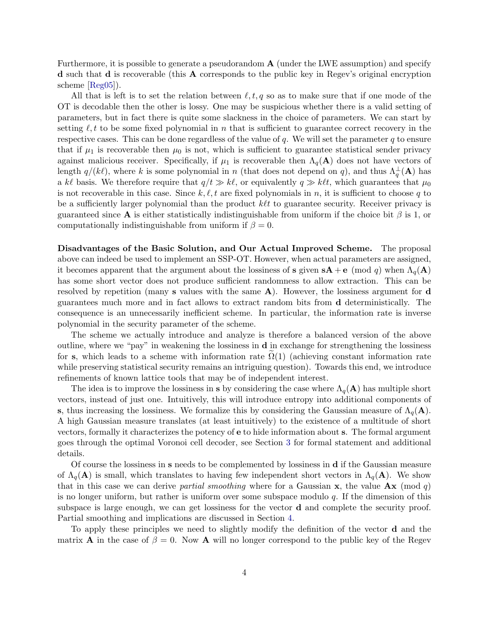Furthermore, it is possible to generate a pseudorandom  $A$  (under the LWE assumption) and specify d such that d is recoverable (this A corresponds to the public key in Regev's original encryption scheme [\[Reg05\]](#page-17-1)).

All that is left is to set the relation between  $\ell, t, q$  so as to make sure that if one mode of the OT is decodable then the other is lossy. One may be suspicious whether there is a valid setting of parameters, but in fact there is quite some slackness in the choice of parameters. We can start by setting  $\ell, t$  to be some fixed polynomial in n that is sufficient to guarantee correct recovery in the respective cases. This can be done regardless of the value of  $q$ . We will set the parameter  $q$  to ensure that if  $\mu_1$  is recoverable then  $\mu_0$  is not, which is sufficient to guarantee statistical sender privacy against malicious receiver. Specifically, if  $\mu_1$  is recoverable then  $\Lambda_q(\mathbf{A})$  does not have vectors of length  $q/(k\ell)$ , where k is some polynomial in n (that does not depend on q), and thus  $\Lambda_q^{\perp}(\mathbf{A})$  has a k' basis. We therefore require that  $q/t \gg k\ell$ , or equivalently  $q \gg k\ell t$ , which guarantees that  $\mu_0$ is not recoverable in this case. Since  $k, \ell, t$  are fixed polynomials in n, it is sufficient to choose q to be a sufficiently larger polynomial than the product  $k\ell t$  to guarantee security. Receiver privacy is guaranteed since A is either statistically indistinguishable from uniform if the choice bit  $\beta$  is 1, or computationally indistinguishable from uniform if  $\beta = 0$ .

Disadvantages of the Basic Solution, and Our Actual Improved Scheme. The proposal above can indeed be used to implement an SSP-OT. However, when actual parameters are assigned, it becomes apparent that the argument about the lossiness of s given  $sA + e \pmod{q}$  when  $\Lambda_q(A)$ has some short vector does not produce sufficient randomness to allow extraction. This can be resolved by repetition (many s values with the same  $A$ ). However, the lossiness argument for d guarantees much more and in fact allows to extract random bits from d deterministically. The consequence is an unnecessarily inefficient scheme. In particular, the information rate is inverse polynomial in the security parameter of the scheme.

The scheme we actually introduce and analyze is therefore a balanced version of the above outline, where we "pay" in weakening the lossiness in d in exchange for strengthening the lossiness for s, which leads to a scheme with information rate  $\Omega(1)$  (achieving constant information rate while preserving statistical security remains an intriguing question). Towards this end, we introduce refinements of known lattice tools that may be of independent interest.

The idea is to improve the lossiness in s by considering the case where  $\Lambda_q(A)$  has multiple short vectors, instead of just one. Intuitively, this will introduce entropy into additional components of s, thus increasing the lossiness. We formalize this by considering the Gaussian measure of  $\Lambda_q(A)$ . A high Gaussian measure translates (at least intuitively) to the existence of a multitude of short vectors, formally it characterizes the potency of e to hide information about s. The formal argument goes through the optimal Voronoi cell decoder, see Section [3](#page-7-0) for formal statement and additional details.

Of course the lossiness in s needs to be complemented by lossiness in d if the Gaussian measure of  $\Lambda_q(A)$  is small, which translates to having few independent short vectors in  $\Lambda_q(A)$ . We show that in this case we can derive partial smoothing where for a Gaussian  $x$ , the value  $Ax \pmod{q}$ is no longer uniform, but rather is uniform over some subspace modulo  $q$ . If the dimension of this subspace is large enough, we can get lossiness for the vector d and complete the security proof. Partial smoothing and implications are discussed in Section [4.](#page-8-0)

To apply these principles we need to slightly modify the definition of the vector d and the matrix **A** in the case of  $\beta = 0$ . Now **A** will no longer correspond to the public key of the Regev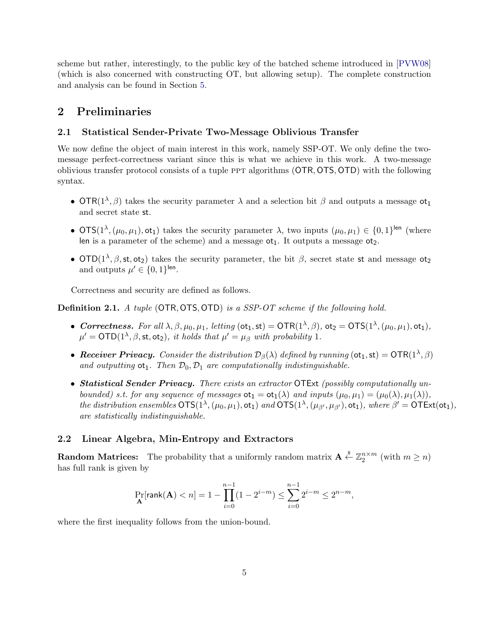scheme but rather, interestingly, to the public key of the batched scheme introduced in [\[PVW08\]](#page-16-5) (which is also concerned with constructing OT, but allowing setup). The complete construction and analysis can be found in Section [5.](#page-9-0)

# 2 Preliminaries

### 2.1 Statistical Sender-Private Two-Message Oblivious Transfer

We now define the object of main interest in this work, namely SSP-OT. We only define the twomessage perfect-correctness variant since this is what we achieve in this work. A two-message oblivious transfer protocol consists of a tuple ppt algorithms (OTR, OTS, OTD) with the following syntax.

- OTR( $1^{\lambda}, \beta$ ) takes the security parameter  $\lambda$  and a selection bit  $\beta$  and outputs a message ot<sub>1</sub> and secret state st.
- OTS( $1^{\lambda}$ ,  $(\mu_0, \mu_1)$ , ot<sub>1</sub>) takes the security parameter  $\lambda$ , two inputs  $(\mu_0, \mu_1) \in \{0, 1\}^{\text{len}}$  (where len is a parameter of the scheme) and a message  $ot_1$ . It outputs a message  $ot_2$ .
- OTD( $1^{\lambda}, \beta, st, ot_2$ ) takes the security parameter, the bit  $\beta$ , secret state st and message ot<sub>2</sub> and outputs  $\mu' \in \{0, 1\}^{\text{len}}$ .

Correctness and security are defined as follows.

Definition 2.1. A tuple (OTR, OTS, OTD) is a SSP-OT scheme if the following hold.

- Correctness. For all  $\lambda, \beta, \mu_0, \mu_1$ , letting  $(\text{ot}_1, \text{st}) = \text{OTR}(1^{\lambda}, \beta)$ ,  $\text{ot}_2 = \text{OTS}(1^{\lambda}, (\mu_0, \mu_1), \text{ot}_1)$ ,  $\mu' = \text{OTD}(1^{\lambda}, \beta, \text{st}, \text{ot}_2)$ , it holds that  $\mu' = \mu_{\beta}$  with probability 1.
- Receiver Privacy. Consider the distribution  $\mathcal{D}_{\beta}(\lambda)$  defined by running  $(\sigma t_1, st) = \text{OTR}(1^{\lambda}, \beta)$ and outputting  $ot_1$ . Then  $\mathcal{D}_0$ ,  $\mathcal{D}_1$  are computationally indistinguishable.
- Statistical Sender Privacy. There exists an extractor OTExt (possibly computationally unbounded) s.t. for any sequence of messages  $ot_1 = ot_1(\lambda)$  and inputs  $(\mu_0, \mu_1) = (\mu_0(\lambda), \mu_1(\lambda)),$ the distribution ensembles  $OTS(1^{\lambda}, (\mu_0, \mu_1), \text{ot}_1)$  and  $OTS(1^{\lambda}, (\mu_{\beta'}, \mu_{\beta'}), \text{ot}_1)$ , where  $\beta' = OTEX(\text{ot}_1)$ , are statistically indistinguishable.

### <span id="page-4-0"></span>2.2 Linear Algebra, Min-Entropy and Extractors

**Random Matrices:** The probability that a uniformly random matrix  $A \stackrel{s}{\leftarrow} \mathbb{Z}_2^{n \times m}$  (with  $m \ge n$ ) has full rank is given by

$$
\Pr_{\mathbf{A}}[\text{rank}(\mathbf{A}) < n] = 1 - \prod_{i=0}^{n-1} (1 - 2^{i-m}) \le \sum_{i=0}^{n-1} 2^{i-m} \le 2^{n-m},
$$

where the first inequality follows from the union-bound.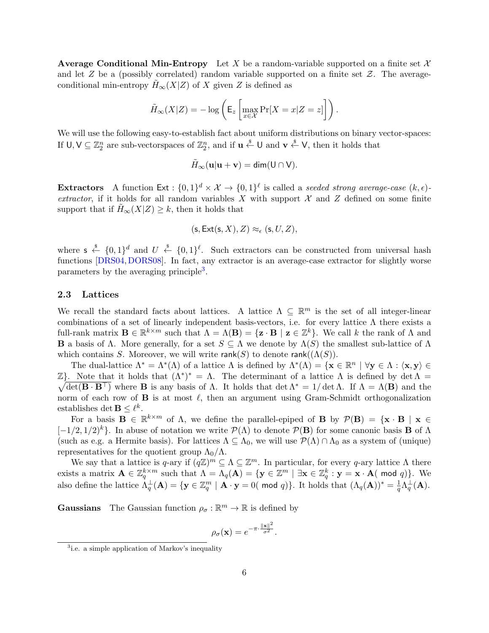**Average Conditional Min-Entropy** Let X be a random-variable supported on a finite set  $\mathcal{X}$ and let  $Z$  be a (possibly correlated) random variable supported on a finite set  $Z$ . The averageconditional min-entropy  $H_{\infty}(X|Z)$  of X given Z is defined as

$$
\tilde{H}_{\infty}(X|Z) = -\log\left(\mathsf{E}_z\left[\max_{x \in \mathcal{X}} \Pr[X = x|Z = z]\right]\right).
$$

We will use the following easy-to-establish fact about uniform distributions on binary vector-spaces: If  $\mathsf{U}, \mathsf{V} \subseteq \mathbb{Z}_2^n$  are sub-vectorspaces of  $\mathbb{Z}_2^n$ , and if  $\mathbf{u} \stackrel{\$}{\leftarrow} \mathsf{U}$  and  $\mathbf{v} \stackrel{\$}{\leftarrow} \mathsf{V}$ , then it holds that

$$
\tilde{H}_{\infty}(\mathbf{u}|\mathbf{u}+\mathbf{v})=\text{dim}(\mathsf{U}\cap\mathsf{V}).
$$

**Extractors** A function  $\textsf{Ext}: \{0,1\}^d \times \mathcal{X} \to \{0,1\}^{\ell}$  is called a seeded strong average-case  $(k,\epsilon)$ extractor, if it holds for all random variables  $X$  with support  $X$  and  $Z$  defined on some finite support that if  $H_{\infty}(X|Z) \geq k$ , then it holds that

$$
(\mathsf{s}, \mathsf{Ext}(\mathsf{s}, X), Z) \approx_{\epsilon} (\mathsf{s}, U, Z),
$$

where  $s \stackrel{\$}{\leftarrow} \{0,1\}^d$  and  $U \stackrel{\$}{\leftarrow} \{0,1\}^{\ell}$ . Such extractors can be constructed from universal hash functions [\[DRS04,](#page-15-9)[DORS08\]](#page-15-10). In fact, any extractor is an average-case extractor for slightly worse parameters by the averaging principle<sup>[3](#page-5-0)</sup>.

### 2.3 Lattices

We recall the standard facts about lattices. A lattice  $\Lambda \subseteq \mathbb{R}^m$  is the set of all integer-linear combinations of a set of linearly independent basis-vectors, i.e. for every lattice  $\Lambda$  there exists a full-rank matrix  $\mathbf{B} \in \mathbb{R}^{k \times m}$  such that  $\Lambda = \Lambda(\mathbf{B}) = {\mathbf{z} \cdot \mathbf{B} \mid \mathbf{z} \in \mathbb{Z}^k}$ . We call k the rank of  $\Lambda$  and **B** a basis of  $\Lambda$ . More generally, for a set  $S \subseteq \Lambda$  we denote by  $\Lambda(S)$  the smallest sub-lattice of  $\Lambda$ which contains S. Moreover, we will write rank(S) to denote rank( $(\Lambda(S))$ .

The dual-lattice  $\Lambda^* = \Lambda^*(\Lambda)$  of a lattice  $\Lambda$  is defined by  $\Lambda^*(\Lambda) = {\mathbf{x} \in \mathbb{R}^n \mid \forall \mathbf{y} \in \Lambda : \langle \mathbf{x}, \mathbf{y} \rangle \in \Lambda}$  $\mathbb{Z}$ . Note that it holds that  $(Λ^*)^* = Λ$ . The determinant of a lattice Λ is defined by det  $Λ =$  $\sqrt{\det(\mathbf{B} \cdot \mathbf{B}^{\top})}$  where **B** is any basis of  $\Lambda$ . It holds that  $\det \Lambda^* = 1/\det \Lambda$ . If  $\Lambda = \Lambda(\mathbf{B})$  and the norm of each row of  $\bf{B}$  is at most  $\ell$ , then an argument using Gram-Schmidt orthogonalization establishes det  $\mathbf{B} \leq \ell^k$ .

For a basis  $\mathbf{B} \in \mathbb{R}^{k \times m}$  of  $\Lambda$ , we define the parallel-epiped of **B** by  $\mathcal{P}(\mathbf{B}) = {\mathbf{x} \cdot \mathbf{B} \mid \mathbf{x} \in \mathbb{R}^{k \times m}}$  $[-1/2, 1/2)^k$ . In abuse of notation we write  $\mathcal{P}(\Lambda)$  to denote  $\mathcal{P}(\mathbf{B})$  for some canonic basis **B** of  $\Lambda$ (such as e.g. a Hermite basis). For lattices  $\Lambda \subseteq \Lambda_0$ , we will use  $\mathcal{P}(\Lambda) \cap \Lambda_0$  as a system of (unique) representatives for the quotient group  $\Lambda_0/\Lambda$ .

We say that a lattice is q-ary if  $(q\mathbb{Z})^m \subseteq \Lambda \subseteq \mathbb{Z}^m$ . In particular, for every q-ary lattice  $\Lambda$  there exists a matrix  $\mathbf{A} \in \mathbb{Z}_q^{k \times m}$  such that  $\Lambda = \Lambda_q(\mathbf{A}) = \{ \mathbf{y} \in \mathbb{Z}^m \mid \exists \mathbf{x} \in \mathbb{Z}_q^k : \mathbf{y} = \mathbf{x} \cdot \mathbf{A} \mathbf{(} \bmod q) \}.$  We also define the lattice  $\Lambda_q^{\perp}(\mathbf{A}) = \{ \mathbf{y} \in \mathbb{Z}_q^m \mid \mathbf{A} \cdot \mathbf{y} = 0 \text{ (mod } q) \}.$  It holds that  $(\Lambda_q(\mathbf{A}))^* = \frac{1}{q}$  $\frac{1}{q}\Lambda_q^{\perp}(\mathbf{A}).$ 

**Gaussians** The Gaussian function  $\rho_{\sigma} : \mathbb{R}^m \to \mathbb{R}$  is defined by

$$
\rho_{\sigma}(\mathbf{x}) = e^{-\pi \cdot \frac{\|\mathbf{x}\|^2}{\sigma^2}}.
$$

<span id="page-5-0"></span><sup>&</sup>lt;sup>3</sup>i.e. a simple application of Markov's inequality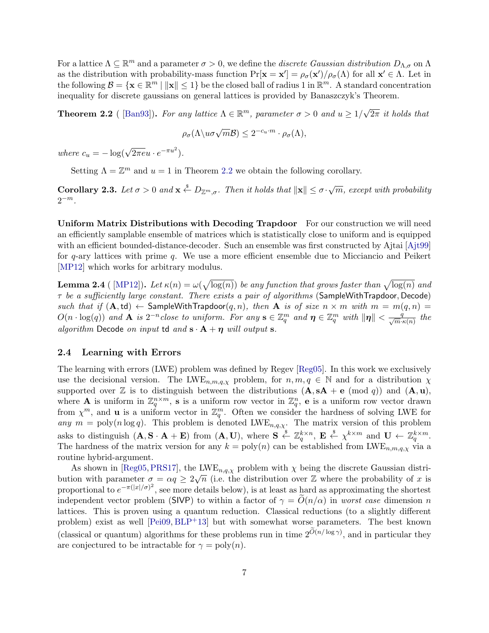For a lattice  $\Lambda \subseteq \mathbb{R}^m$  and a parameter  $\sigma > 0$ , we define the *discrete Gaussian distribution*  $D_{\Lambda,\sigma}$  on  $\Lambda$ as the distribution with probability-mass function  $Pr[\mathbf{x} = \mathbf{x}'] = \rho_{\sigma}(\mathbf{x}')/\rho_{\sigma}(\Lambda)$  for all  $\mathbf{x}' \in \Lambda$ . Let in the following  $\mathcal{B} = \{ \mathbf{x} \in \mathbb{R}^m \mid ||\mathbf{x}|| \leq 1 \}$  be the closed ball of radius 1 in  $\mathbb{R}^m$ . A standard concentration inequality for discrete gaussians on general lattices is provided by Banaszczyk's Theorem.

<span id="page-6-0"></span>**Theorem 2.2** ( [\[Ban93\]](#page-14-7)). For any lattice  $\Lambda \in \mathbb{R}^m$ , parameter  $\sigma > 0$  and  $u \geq 1/\sqrt{2}$  $2\pi$  it holds that

$$
\rho_{\sigma}(\Lambda \backslash u \sigma \sqrt{m} \mathcal{B}) \leq 2^{-c_u \cdot m} \cdot \rho_{\sigma}(\Lambda),
$$

where  $c_u = -\log(\sqrt{2\pi e}u \cdot e^{-\pi u^2}).$ 

Setting  $\Lambda = \mathbb{Z}^m$  and  $u = 1$  in Theorem [2.2](#page-6-0) we obtain the following corollary.

<span id="page-6-1"></span>**Corollary 2.3.** Let  $\sigma > 0$  and  $\mathbf{x} \stackrel{\$}{\leftarrow} D_{\mathbb{Z}^m, \sigma}$ . Then it holds that  $\|\mathbf{x}\| \leq \sigma \cdot \sqrt{m}$ , except with probability  $2^{-m}$ .

Uniform Matrix Distributions with Decoding Trapdoor For our construction we will need an efficiently samplable ensemble of matrices which is statistically close to uniform and is equipped with an efficient bounded-distance-decoder. Such an ensemble was first constructed by Ajtai [\[Ajt99\]](#page-14-6) for q-ary lattices with prime q. We use a more efficient ensemble due to Micciancio and Peikert [\[MP12\]](#page-16-6) which works for arbitrary modulus.

<span id="page-6-2"></span>**Lemma 2.4** ( [\[MP12\]](#page-16-6)). Let  $\kappa(n) = \omega(\sqrt{\log(n)})$  be any function that grows faster than  $\sqrt{\log(n)}$  and  $\tau$  be a sufficiently large constant. There exists a pair of algorithms (SampleWithTrapdoor, Decode) such that if  $(A,td) \leftarrow$  SampleWithTrapdoor $(q,n)$ , then A is of size  $n \times m$  with  $m = m(q,n) =$  $O(n \cdot \log(q))$  and  $\mathbf{A}$  is  $2^{-n}$ close to uniform. For any  $\mathbf{s} \in \mathbb{Z}_q^m$  and  $\boldsymbol{\eta} \in \mathbb{Z}_q^m$  with  $\|\boldsymbol{\eta}\| < \frac{q}{\sqrt{m} \cdot \kappa(n)}$  the algorithm Decode on input td and  $\mathbf{s} \cdot \mathbf{A} + \boldsymbol{\eta}$  will output  $\mathbf{s}$ .

### 2.4 Learning with Errors

The learning with errors (LWE) problem was defined by Regev [\[Reg05\]](#page-17-1). In this work we exclusively use the decisional version. The LWE<sub>n,m,q, $\chi$ </sub> problem, for  $n, m, q \in \mathbb{N}$  and for a distribution  $\chi$ supported over Z is to distinguish between the distributions  $(A, sA + e \pmod{q}$  and  $(A, u)$ , where **A** is uniform in  $\mathbb{Z}_q^{n \times m}$ , **s** is a uniform row vector in  $\mathbb{Z}_q^n$ , **e** is a uniform row vector drawn from  $\chi^m$ , and **u** is a uniform vector in  $\mathbb{Z}_q^m$ . Often we consider the hardness of solving LWE for any  $m = \text{poly}(n \log q)$ . This problem is denoted LWE<sub>n,q, $\chi$ </sub>. The matrix version of this problem asks to distinguish  $(\mathbf{A}, \mathbf{S} \cdot \mathbf{A} + \mathbf{E})$  from  $(\mathbf{A}, \mathbf{U})$ , where  $\mathbf{S} \stackrel{\$}{\leftarrow} \mathbb{Z}_q^{k \times n}$ ,  $\mathbf{E} \stackrel{\$}{\leftarrow} \chi^{k \times m}$  and  $\mathbf{U} \leftarrow \mathbb{Z}_q^{k \times m}$ . The hardness of the matrix version for any  $k = \text{poly}(n)$  can be established from LWE<sub>n,m,q, $\chi$ </sub> via a routine hybrid-argument.

As shown in [\[Reg05,](#page-17-1) [PRS17\]](#page-16-7), the LWE<sub>n,q, $\chi$ </sub> problem with  $\chi$  being the discrete Gaussian distribution with parameter  $\sigma = \alpha q \geq 2\sqrt{n}$  (i.e. the distribution over Z where the probability of x is proportional to  $e^{-\pi(|x|/\sigma)^2}$ , see more details below), is at least as hard as approximating the shortest independent vector problem (SIVP) to within a factor of  $\gamma = O(n/\alpha)$  in worst case dimension n lattices. This is proven using a quantum reduction. Classical reductions (to a slightly different problem) exist as well [\[Pei09,](#page-16-8) [BLP](#page-14-8)+13] but with somewhat worse parameters. The best known (classical or quantum) algorithms for these problems run in time  $2^{O(n/\log \gamma)}$ , and in particular they are conjectured to be intractable for  $\gamma = \text{poly}(n)$ .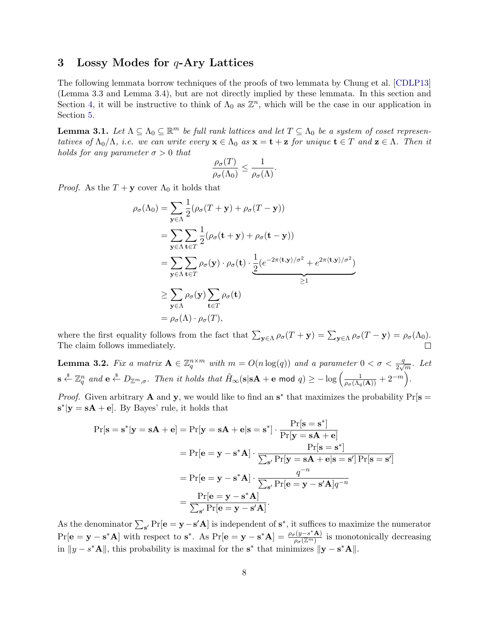### <span id="page-7-0"></span>3 Lossy Modes for  $q$ -Ary Lattices

The following lemmata borrow techniques of the proofs of two lemmata by Chung et al. [\[CDLP13\]](#page-14-9) (Lemma 3.3 and Lemma 3.4), but are not directly implied by these lemmata. In this section and Section [4,](#page-8-0) it will be instructive to think of  $\Lambda_0$  as  $\mathbb{Z}^n$ , which will be the case in our application in Section [5.](#page-9-0)

<span id="page-7-1"></span>**Lemma 3.1.** Let  $\Lambda \subseteq \Lambda_0 \subseteq \mathbb{R}^m$  be full rank lattices and let  $T \subseteq \Lambda_0$  be a system of coset representatives of  $\Lambda_0/\Lambda$ , i.e. we can write every  $\mathbf{x} \in \Lambda_0$  as  $\mathbf{x} = \mathbf{t} + \mathbf{z}$  for unique  $\mathbf{t} \in T$  and  $\mathbf{z} \in \Lambda$ . Then it holds for any parameter  $\sigma > 0$  that

$$
\frac{\rho_{\sigma}(T)}{\rho_{\sigma}(\Lambda_0)} \leq \frac{1}{\rho_{\sigma}(\Lambda)}.
$$

*Proof.* As the  $T + y$  cover  $\Lambda_0$  it holds that

$$
\rho_{\sigma}(\Lambda_0) = \sum_{\mathbf{y} \in \Lambda} \frac{1}{2} (\rho_{\sigma}(T + \mathbf{y}) + \rho_{\sigma}(T - \mathbf{y}))
$$
  
\n
$$
= \sum_{\mathbf{y} \in \Lambda} \sum_{\mathbf{t} \in T} \frac{1}{2} (\rho_{\sigma}(\mathbf{t} + \mathbf{y}) + \rho_{\sigma}(\mathbf{t} - \mathbf{y}))
$$
  
\n
$$
= \sum_{\mathbf{y} \in \Lambda} \sum_{\mathbf{t} \in T} \rho_{\sigma}(\mathbf{y}) \cdot \rho_{\sigma}(\mathbf{t}) \cdot \frac{1}{2} (e^{-2\pi \langle \mathbf{t}, \mathbf{y} \rangle / \sigma^2} + e^{2\pi \langle \mathbf{t}, \mathbf{y} \rangle / \sigma^2})
$$
  
\n
$$
\geq \sum_{\mathbf{y} \in \Lambda} \rho_{\sigma}(\mathbf{y}) \sum_{\mathbf{t} \in T} \rho_{\sigma}(\mathbf{t})
$$
  
\n
$$
= \rho_{\sigma}(\Lambda) \cdot \rho_{\sigma}(T),
$$

where the first equality follows from the fact that  $\sum_{\mathbf{y}\in\Lambda} \rho_{\sigma}(T+\mathbf{y}) = \sum_{\mathbf{y}\in\Lambda} \rho_{\sigma}(T-\mathbf{y}) = \rho_{\sigma}(\Lambda_0)$ . The claim follows immediately.

<span id="page-7-2"></span>**Lemma 3.2.** Fix a matrix  $A \in \mathbb{Z}_q^{n \times m}$  with  $m = O(n \log(q))$  and a parameter  $0 < \sigma < \frac{q}{2\sqrt{m}}$ . Let  $\mathbf{s} \stackrel{\$}{\leftarrow} \mathbb{Z}_q^n$  and  $\mathbf{e} \stackrel{\$}{\leftarrow} D_{\mathbb{Z}^m,\sigma}$ . Then it holds that  $\widetilde{H}_{\infty}(\mathbf{s}|\mathbf{s}\mathbf{A} + \mathbf{e} \bmod q) \ge -\log \left( \frac{1}{\rho_{\sigma}(\Lambda_q(\mathbf{A}))} + 2^{-m} \right)$ .

*Proof.* Given arbitrary **A** and **y**, we would like to find an  $s^*$  that maximizes the probability  $Pr[s =$  $\mathbf{s}^*|\mathbf{y} = \mathbf{s}\mathbf{A} + \mathbf{e}$ . By Bayes' rule, it holds that

$$
\Pr[\mathbf{s} = \mathbf{s}^* | \mathbf{y} = \mathbf{s} \mathbf{A} + \mathbf{e}] = \Pr[\mathbf{y} = \mathbf{s} \mathbf{A} + \mathbf{e} | \mathbf{s} = \mathbf{s}^*] \cdot \frac{\Pr[\mathbf{s} = \mathbf{s}^*]}{\Pr[\mathbf{y} = \mathbf{s} \mathbf{A} + \mathbf{e}]} \\
= \Pr[\mathbf{e} = \mathbf{y} - \mathbf{s}^* \mathbf{A}] \cdot \frac{\Pr[\mathbf{s} = \mathbf{s}^*]}{\sum_{\mathbf{s}'} \Pr[\mathbf{y} = \mathbf{s} \mathbf{A} + \mathbf{e} | \mathbf{s} = \mathbf{s}']} \Pr[\mathbf{s} = \mathbf{s}'] \\
= \Pr[\mathbf{e} = \mathbf{y} - \mathbf{s}^* \mathbf{A}] \cdot \frac{q^{-n}}{\sum_{\mathbf{s}'} \Pr[\mathbf{e} = \mathbf{y} - \mathbf{s}' \mathbf{A}] q^{-n}} \\
= \frac{\Pr[\mathbf{e} = \mathbf{y} - \mathbf{s}^* \mathbf{A}]}{\sum_{\mathbf{s}'} \Pr[\mathbf{e} = \mathbf{y} - \mathbf{s}' \mathbf{A}]}.
$$

As the denominator  $\sum_{s'} Pr[e = y - s' A]$  is independent of  $s^*$ , it suffices to maximize the numerator  $Pr[\mathbf{e} = \mathbf{y} - \mathbf{s}^* \mathbf{A}]$  with respect to  $\mathbf{s}^*$ . As  $Pr[\mathbf{e} = \mathbf{y} - \mathbf{s}^* \mathbf{A}] = \frac{\rho_{\sigma}(y - s^* \mathbf{A})}{\rho_{\sigma}(y - s^*)}$  $\frac{\overline{r(y-s)}\mathbf{A})}{\rho_{\sigma}(\mathbb{Z}^m)}$  is monotonically decreasing in  $||y - s^*A||$ , this probability is maximal for the s<sup>\*</sup> that minimizes  $||y - s^*A||$ .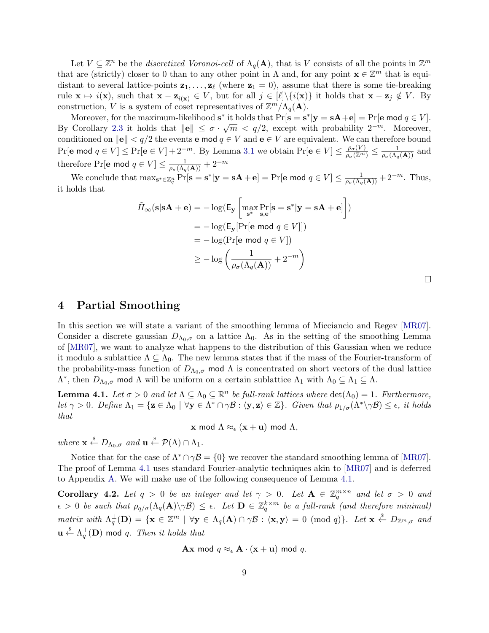Let  $V \subseteq \mathbb{Z}^n$  be the *discretized Voronoi-cell* of  $\Lambda_q(\mathbf{A})$ , that is V consists of all the points in  $\mathbb{Z}^m$ that are (strictly) closer to 0 than to any other point in  $\Lambda$  and, for any point  $\mathbf{x} \in \mathbb{Z}^m$  that is equidistant to several lattice-points  $\mathbf{z}_1, \ldots, \mathbf{z}_{\ell}$  (where  $\mathbf{z}_1 = 0$ ), assume that there is some tie-breaking rule  $\mathbf{x} \mapsto i(\mathbf{x})$ , such that  $\mathbf{x} - \mathbf{z}_{i(\mathbf{x})} \in V$ , but for all  $j \in [\ell] \setminus \{i(\mathbf{x})\}$  it holds that  $\mathbf{x} - \mathbf{z}_j \notin V$ . By construction, V is a system of coset representatives of  $\mathbb{Z}^m/\Lambda_q(\mathbf{A})$ .

Moreover, for the maximum-likelihood  $\mathbf{s}^*$  it holds that  $\Pr[\mathbf{s} = \mathbf{s}^* | \mathbf{y} = \mathbf{s} \mathbf{A} + \mathbf{e}] = \Pr[\mathbf{e} \text{ mod } q \in V].$ By Corollary [2.3](#page-6-1) it holds that  $||e|| \leq \sigma \cdot \sqrt{m} < q/2$ , except with probability  $2^{-m}$ . Moreover, conditioned on  $\|\mathbf{e}\| < q/2$  the events **e** mod  $q \in V$  and  $\mathbf{e} \in V$  are equivalent. We can therefore bound  $Pr[\mathbf{e} \text{ mod } q \in V] \le Pr[\mathbf{e} \in V] + 2^{-m}$ . By Lemma [3.1](#page-7-1) we obtain  $Pr[\mathbf{e} \in V] \le \frac{\rho_{\sigma}(V)}{\rho_{\sigma}(\mathbb{Z}^m)} \le \frac{1}{\rho_{\sigma}(\Lambda_q(\mathbf{A}))}$  and therefore Pr[e mod  $q \in V$ ]  $\leq \frac{1}{\rho_\sigma(\Lambda_q(\mathbf{A}))} + 2^{-m}$ 

We conclude that  $\max_{\mathbf{s}^* \in \mathbb{Z}_q^n} \Pr[\mathbf{s} = \mathbf{s}^* | \mathbf{y} = \mathbf{s} \mathbf{A} + \mathbf{e}] = \Pr[\mathbf{e} \text{ mod } q \in V] \le \frac{1}{\rho_\sigma(\Lambda_q(\mathbf{A}))} + 2^{-m}$ . Thus, it holds that

$$
\tilde{H}_{\infty}(\mathbf{s}|\mathbf{s}\mathbf{A} + \mathbf{e}) = -\log(\mathsf{E}_{\mathbf{y}}\left[\max_{\mathbf{s}^*} \Pr_{\mathbf{s},\mathbf{e}}[\mathbf{s} = \mathbf{s}^*|\mathbf{y} = \mathbf{s}\mathbf{A} + \mathbf{e}]\right])
$$
\n
$$
= -\log(\mathsf{E}_{\mathbf{y}}[\Pr[\mathbf{e} \mod q \in V]])
$$
\n
$$
= -\log(\Pr[\mathbf{e} \mod q \in V])
$$
\n
$$
\geq -\log\left(\frac{1}{\rho_{\sigma}(\Lambda_q(\mathbf{A}))} + 2^{-m}\right)
$$

### <span id="page-8-0"></span>4 Partial Smoothing

In this section we will state a variant of the smoothing lemma of Micciancio and Regev [\[MR07\]](#page-16-9). Consider a discrete gaussian  $D_{\Lambda_0,\sigma}$  on a lattice  $\Lambda_0$ . As in the setting of the smoothing Lemma of [\[MR07\]](#page-16-9), we want to analyze what happens to the distribution of this Gaussian when we reduce it modulo a sublattice  $\Lambda \subseteq \Lambda_0$ . The new lemma states that if the mass of the Fourier-transform of the probability-mass function of  $D_{\Lambda_0,\sigma}$  mod  $\Lambda$  is concentrated on short vectors of the dual lattice  $\Lambda^*$ , then  $D_{\Lambda_0,\sigma}$  mod  $\Lambda$  will be uniform on a certain sublattice  $\Lambda_1$  with  $\Lambda_0 \subseteq \Lambda_1 \subseteq \Lambda$ .

<span id="page-8-1"></span>**Lemma 4.1.** Let  $\sigma > 0$  and let  $\Lambda \subseteq \Lambda_0 \subseteq \mathbb{R}^n$  be full-rank lattices where  $\det(\Lambda_0) = 1$ . Furthermore, let  $\gamma > 0$ . Define  $\Lambda_1 = \{ \mathbf{z} \in \Lambda_0 \mid \forall \mathbf{y} \in \Lambda^* \cap \gamma \mathcal{B} : \langle \mathbf{y}, \mathbf{z} \rangle \in \mathbb{Z} \}$ . Given that  $\rho_{1/\sigma}(\Lambda^* \setminus \gamma \mathcal{B}) \leq \epsilon$ , it holds that

 $\mathbf x$  mod  $\Lambda \approx_{\epsilon} (\mathbf x + \mathbf u)$  mod  $\Lambda$ ,

where  $\mathbf{x} \stackrel{\$}{\leftarrow} D_{\Lambda_0, \sigma}$  and  $\mathbf{u} \stackrel{\$}{\leftarrow} \mathcal{P}(\Lambda) \cap \Lambda_1$ .

Notice that for the case of  $\Lambda^* \cap \gamma \mathcal{B} = \{0\}$  we recover the standard smoothing lemma of [\[MR07\]](#page-16-9). The proof of Lemma [4.1](#page-8-1) uses standard Fourier-analytic techniques akin to [\[MR07\]](#page-16-9) and is deferred to Appendix [A.](#page-17-2) We will make use of the following consequence of Lemma [4.1.](#page-8-1)

<span id="page-8-2"></span>Corollary 4.2. Let  $q > 0$  be an integer and let  $\gamma > 0$ . Let  $\mathbf{A} \in \mathbb{Z}_q^{m \times n}$  and let  $\sigma > 0$  and  $\epsilon > 0$  be such that  $\rho_{q/\sigma}(\Lambda_q(\mathbf{A})\setminus \gamma \mathcal{B}) \leq \epsilon$ . Let  $\mathbf{D} \in \mathbb{Z}_q^{k \times m}$  be a full-rank (and therefore minimal) matrix with  $\Lambda_q^{\perp}(\mathbf{D}) = \{ \mathbf{x} \in \mathbb{Z}^m \mid \forall \mathbf{y} \in \Lambda_q(\mathbf{A}) \cap \gamma \mathcal{B} : \langle \mathbf{x}, \mathbf{y} \rangle = 0 \pmod{q} \}$ . Let  $\mathbf{x} \stackrel{\$}{\leftarrow} D_{\mathbb{Z}^m, \sigma}$  and  $\mathbf{u}\overset{\hspace{0.1em}\mathsf{\scriptscriptstyle\$}}{\leftarrow}\Lambda_{q}^{\perp}(\mathbf{D})$  mod  $q.$   $\emph{Then it holds that}$ 

$$
\mathbf{A}\mathbf{x} \bmod q \approx_{\epsilon} \mathbf{A} \cdot (\mathbf{x} + \mathbf{u}) \bmod q.
$$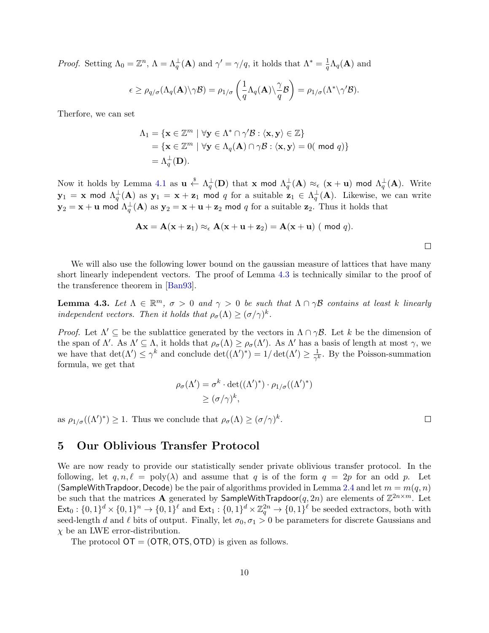*Proof.* Setting  $\Lambda_0 = \mathbb{Z}^n$ ,  $\Lambda = \Lambda_q^{\perp}(\mathbf{A})$  and  $\gamma' = \gamma/q$ , it holds that  $\Lambda^* = \frac{1}{q}$  $\frac{1}{q}\Lambda_q(\mathbf{A})$  and

$$
\epsilon \geq \rho_{q/\sigma}(\Lambda_q(\mathbf{A}) \setminus \gamma \mathcal{B}) = \rho_{1/\sigma} \left( \frac{1}{q} \Lambda_q(\mathbf{A}) \setminus \frac{\gamma}{q} \mathcal{B} \right) = \rho_{1/\sigma}(\Lambda^* \setminus \gamma' \mathcal{B}).
$$

Therfore, we can set

$$
\Lambda_1 = \{ \mathbf{x} \in \mathbb{Z}^m \mid \forall \mathbf{y} \in \Lambda^* \cap \gamma' \mathcal{B} : \langle \mathbf{x}, \mathbf{y} \rangle \in \mathbb{Z} \}
$$
  
=  $\{ \mathbf{x} \in \mathbb{Z}^m \mid \forall \mathbf{y} \in \Lambda_q(\mathbf{A}) \cap \gamma \mathcal{B} : \langle \mathbf{x}, \mathbf{y} \rangle = 0 \text{ ( mod } q) \}$   
=  $\Lambda_q^{\perp}(\mathbf{D})$ .

Now it holds by Lemma [4.1](#page-8-1) as  $\mathbf{u} \overset{\hspace{0.1em}\mathsf{\scriptscriptstyle\$}}{\leftarrow} \Lambda^{\perp}_q(\mathbf{D})$  that  $\mathbf{x}$  mod  $\Lambda^{\perp}_q(\mathbf{A}) \approx_{\epsilon} (\mathbf{x} + \mathbf{u})$  mod  $\Lambda^{\perp}_q(\mathbf{A})$ . Write  ${\bf y}_1\,=\, {\bf x}\,$  mod  $\Lambda_q^\perp({\bf A})$  as  ${\bf y}_1\,=\, {\bf x}\,+\,{\bf z}_1\,$  mod  $q$  for a suitable  ${\bf z}_1\, \in\, \Lambda_q^\perp({\bf A}).$  Likewise, we can write  ${\bf y}_2={\bf x}+{\bf u}$  mod  $\Lambda^\perp_q({\bf A})$  as  ${\bf y}_2={\bf x}+{\bf u}+{\bf z}_2$  mod  $q$  for a suitable  ${\bf z}_2.$  Thus it holds that

$$
\mathbf{A}\mathbf{x} = \mathbf{A}(\mathbf{x} + \mathbf{z}_1) \approx_{\epsilon} \mathbf{A}(\mathbf{x} + \mathbf{u} + \mathbf{z}_2) = \mathbf{A}(\mathbf{x} + \mathbf{u}) \ (\text{ mod } q).
$$

We will also use the following lower bound on the gaussian measure of lattices that have many short linearly independent vectors. The proof of Lemma [4.3](#page-9-1) is technically similar to the proof of the transference theorem in [\[Ban93\]](#page-14-7).

<span id="page-9-1"></span>**Lemma 4.3.** Let  $\Lambda \in \mathbb{R}^m$ ,  $\sigma > 0$  and  $\gamma > 0$  be such that  $\Lambda \cap \gamma \mathcal{B}$  contains at least k linearly independent vectors. Then it holds that  $\rho_{\sigma}(\Lambda) \geq (\sigma/\gamma)^{k}$ .

*Proof.* Let  $\Lambda' \subseteq$  be the sublattice generated by the vectors in  $\Lambda \cap \gamma \mathcal{B}$ . Let k be the dimension of the span of  $\Lambda'$ . As  $\Lambda' \subseteq \Lambda$ , it holds that  $\rho_{\sigma}(\Lambda) \geq \rho_{\sigma}(\Lambda')$ . As  $\Lambda'$  has a basis of length at most  $\gamma$ , we we have that  $\det(\Lambda') \leq \gamma^k$  and conclude  $\det((\Lambda')^*) = 1/\det(\Lambda') \geq \frac{1}{\gamma^k}$  $\frac{1}{\gamma^k}$ . By the Poisson-summation formula, we get that

$$
\rho_{\sigma}(\Lambda') = \sigma^k \cdot \det((\Lambda')^*) \cdot \rho_{1/\sigma}((\Lambda')^*)
$$
  

$$
\geq (\sigma/\gamma)^k,
$$

as  $\rho_{1/\sigma}((\Lambda')^*) \geq 1$ . Thus we conclude that  $\rho_{\sigma}(\Lambda) \geq (\sigma/\gamma)^k$ .

# <span id="page-9-0"></span>5 Our Oblivious Transfer Protocol

We are now ready to provide our statistically sender private oblivious transfer protocol. In the following, let  $q, n, \ell = \text{poly}(\lambda)$  and assume that q is of the form  $q = 2p$  for an odd p. Let (SampleWithTrapdoor, Decode) be the pair of algorithms provided in Lemma [2.4](#page-6-2) and let  $m = m(q, n)$ be such that the matrices **A** generated by **SampleWithTrapdoor** $(q, 2n)$  are elements of  $\mathbb{Z}^{2n \times m}$ . Let  $\textsf{Ext}_0: \{0,1\}^d \times \{0,1\}^n \to \{0,1\}^{\ell}$  and  $\textsf{Ext}_1: \{0,1\}^d \times \mathbb{Z}_q^{2n} \to \{0,1\}^{\ell}$  be seeded extractors, both with seed-length d and  $\ell$  bits of output. Finally, let  $\sigma_0, \sigma_1 > 0$  be parameters for discrete Gaussians and  $\chi$  be an LWE error-distribution.

The protocol  $\mathsf{OT} = (\mathsf{OTR}, \mathsf{OTS}, \mathsf{OTD})$  is given as follows.

 $\Box$ 

 $\Box$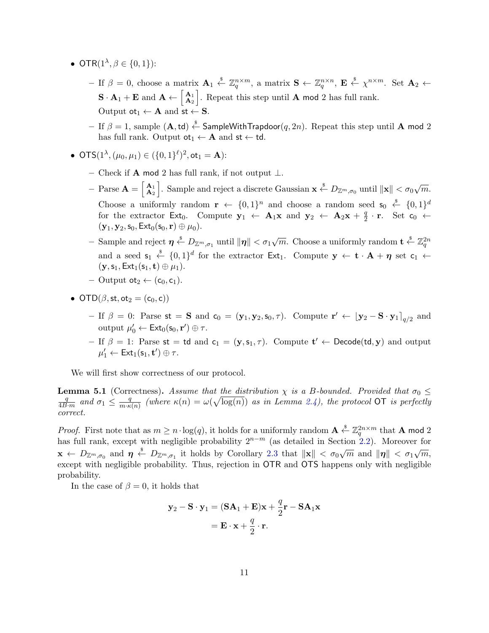- OTR $(1^{\lambda}, \beta \in \{0, 1\})$ :
	- $-$  If  $\beta = 0$ , choose a matrix  $\mathbf{A}_1 \stackrel{\$}{\leftarrow} \mathbb{Z}_q^{n \times m}$ , a matrix  $\mathbf{S} \leftarrow \mathbb{Z}_q^{n \times n}$ ,  $\mathbf{E} \stackrel{\$}{\leftarrow} \chi^{n \times m}$ . Set  $\mathbf{A}_2 \leftarrow$  $\mathbf{S} \cdot \mathbf{A}_1 + \mathbf{E}$  and  $\mathbf{A} \leftarrow \begin{bmatrix} \mathbf{A}_1 \\ \mathbf{A}_2 \end{bmatrix}$  $\mathbf{A}_1$ , Repeat this step until **A** mod 2 has full rank. Output  $ot_1 \leftarrow A$  and  $st \leftarrow S$ .
	- $-$  If  $\beta=1,$   $\mathrm{sample}$   $(\mathbf{A},\mathsf{td}) \overset{\hspace{0.1em}\mathsf{\scriptscriptstyle\$}}{\leftarrow}$   $\mathsf{SampleWithTrapdoor}(q,2n).$  Repeat this step until  $\mathbf{A}$  mod  $2$ has full rank. Output  $ot_1 \leftarrow A$  and  $st \leftarrow td$ .
- OTS $(1^{\lambda}, (\mu_0, \mu_1) \in (\{0,1\}^{\ell})^2,$  ot $_1 = \mathbf{A})$ :
	- Check if **A** mod 2 has full rank, if not output  $\perp$ .
	- $-$  Parse  $\mathbf{A} = \begin{bmatrix} \mathbf{A}_1 \\ \mathbf{A}_2 \end{bmatrix}$  $\mathbf{A}_1 \atop \mathbf{A}_2$ . Sample and reject a discrete Gaussian  $\mathbf{x} \stackrel{\$}{\leftarrow} D_{\mathbb{Z}^m, \sigma_0}$  until  $\|\mathbf{x}\| < \sigma_0 \sqrt{m}$ . Choose a uniformly random  $\mathbf{r} \leftarrow \{0,1\}^n$  and choose a random seed  $\mathbf{s}_0 \stackrel{\$}{\leftarrow} \{0,1\}^d$ for the extractor Ext<sub>0</sub>. Compute  $y_1 \leftarrow A_1x$  and  $y_2 \leftarrow A_2x + \frac{q}{2}$  $\frac{q}{2} \cdot \mathbf{r}$ . Set  $\mathsf{c}_0 \leftarrow$  $({\bf y}_1, {\bf y}_2, {\bf s}_0, {\sf Ext}_0({\bf s}_0, {\bf r}) \oplus \mu_0).$
	- $-$  Sample and reject  $\eta \stackrel{\hspace{0.1em}\mathsf{\scriptscriptstyle\$}}{\leftarrow} D_{\mathbb{Z}^m,\sigma_1}$  until  $\|\eta\| < \sigma_1\sqrt{m}$ . Choose a uniformly random  $\mathbf{t} \stackrel{\hspace{0.1em}\mathsf{\scriptscriptstyle\$}}{\leftarrow} \mathbb{Z}_q^{2n}$ and a seed  $\mathsf{s}_1 \stackrel{\hspace{0.1em}\mathsf{\scriptscriptstyle\$}}{\leftarrow} \{0,1\}^d$  for the extractor  $\mathsf{Ext}_1$ . Compute  $\mathsf{y} \leftarrow \mathbf{t} \cdot \mathbf{A} + \eta$  set  $\mathsf{c}_1 \leftarrow$  $(\mathbf{y},\mathsf{s}_1,\mathsf{Ext}_1(\mathsf{s}_1,\mathbf{t})\oplus\mu_1).$
	- $-$  Output ot<sub>2</sub>  $\leftarrow$  (c<sub>0</sub>, c<sub>1</sub>).
- OTD( $\beta$ , st, ot<sub>2</sub> = (c<sub>0</sub>, c))
	- If  $\beta = 0$ : Parse st = **S** and  $\mathbf{c}_0 = (\mathbf{y}_1, \mathbf{y}_2, \mathbf{s}_0, \tau)$ . Compute  $\mathbf{r}' \leftarrow [\mathbf{y}_2 \mathbf{S} \cdot \mathbf{y}_1]_{q/2}$  and output  $\mu'_0 \leftarrow \mathsf{Ext}_0(\mathsf{s}_0, \mathbf{r}') \oplus \tau.$
	- If  $\beta = 1$ : Parse st = td and c<sub>1</sub> = (y, s<sub>1</sub>,  $\tau$ ). Compute t'  $\leftarrow$  Decode(td, y) and output  $\mu'_1 \leftarrow \mathsf{Ext}_1(\mathsf{s}_1, \mathbf{t}') \oplus \tau.$

We will first show correctness of our protocol.

<span id="page-10-0"></span>**Lemma 5.1** (Correctness). Assume that the distribution  $\chi$  is a B-bounded. Provided that  $\sigma_0 \leq$ q  $\frac{q}{4B\cdot m}$  and  $\sigma_1 \leq \frac{q}{m\cdot\kappa}$  $\frac{q}{m \cdot \kappa(n)}$  (where  $\kappa(n) = \omega(\sqrt{\log(n)})$  as in Lemma [2.4\)](#page-6-2), the protocol OT is perfectly correct.

*Proof.* First note that as  $m \geq n \cdot \log(q)$ , it holds for a uniformly random  $\mathbf{A} \stackrel{\$}{\leftarrow} \mathbb{Z}_q^{2n \times m}$  that  $\mathbf{A}$  mod 2 has full rank, except with negligible probability  $2^{n-m}$  (as detailed in Section [2.2\)](#page-4-0). Moreover for  $\mathbf{x} \leftarrow D_{\mathbb{Z}^m, \sigma_0}$  and  $\boldsymbol{\eta} \stackrel{\text{def}}{\leftarrow} D_{\mathbb{Z}^m, \sigma_1}$  it holds by Corollary [2.3](#page-6-1) that  $\|\mathbf{x}\| < \sigma_0 \sqrt{m}$  and  $\|\boldsymbol{\eta}\| < \sigma_1 \sqrt{m}$ , except with negligible probability. Thus, rejection in OTR and OTS happens only with negligible probability.

In the case of  $\beta = 0$ , it holds that

$$
\mathbf{y}_2 - \mathbf{S} \cdot \mathbf{y}_1 = (\mathbf{S} \mathbf{A}_1 + \mathbf{E}) \mathbf{x} + \frac{q}{2} \mathbf{r} - \mathbf{S} \mathbf{A}_1 \mathbf{x}
$$

$$
= \mathbf{E} \cdot \mathbf{x} + \frac{q}{2} \cdot \mathbf{r}.
$$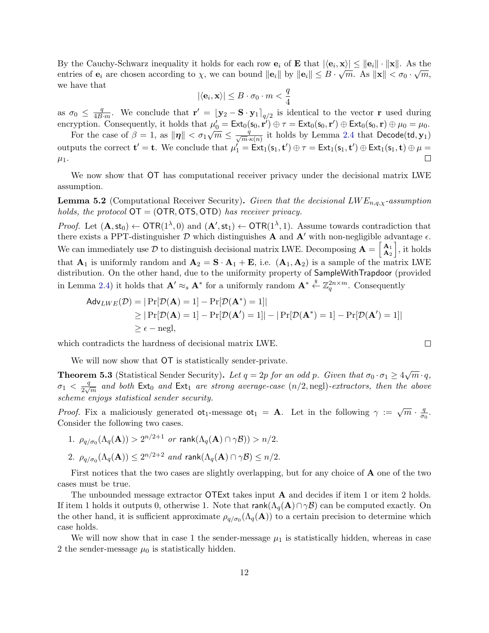By the Cauchy-Schwarz inequality it holds for each row  $\mathbf{e}_i$  of  $\mathbf{E}$  that  $|\langle \mathbf{e}_i, \mathbf{x} \rangle| \leq ||\mathbf{e}_i|| \cdot ||\mathbf{x}||$ . As the entries of  $e_i$  are chosen according to  $\chi$ , we can bound  $||e_i||$  by  $||e_i|| \leq B \cdot \sqrt{m}$ . As  $||\mathbf{x}|| < \sigma_0 \cdot \sqrt{m}$ , we have that

$$
|\langle \mathbf{e}_i, \mathbf{x} \rangle| \leq B \cdot \sigma_0 \cdot m < \frac{q}{4}
$$

as  $\sigma_0 \leq \frac{q}{4R}$  $\frac{q}{4B\cdot m}$ . We conclude that  $\mathbf{r}' = [\mathbf{y}_2 - \mathbf{S} \cdot \mathbf{y}_1]_{q/2}$  is identical to the vector r used during encryption. Consequently, it holds that  $\mu'_0 = \text{Ext}_0(\mathsf{s}_0, \mathbf{r}') \oplus \tau = \text{Ext}_0(\mathsf{s}_0, \mathbf{r}') \oplus \text{Ext}_0(\mathsf{s}_0, \mathbf{r}) \oplus \mu_0 = \mu_0$ .

For the case of  $\beta = 1$ , as  $\|\eta\| < \sigma_1 \sqrt{m} \leq \frac{q}{\sqrt{m} \cdot \kappa(n)}$  it holds by Lemma [2.4](#page-6-2) that Decode(td,  $\mathbf{y}_1$ ) outputs the correct  $\mathbf{t}' = \mathbf{t}$ . We conclude that  $\mu'_1 = \text{Ext}_1(\mathbf{s}_1, \mathbf{t}') \oplus \tau = \text{Ext}_1(\mathbf{s}_1, \mathbf{t}') \oplus \text{Ext}_1(\mathbf{s}_1, \mathbf{t}) \oplus \mu =$ П  $\mu_1$ .

We now show that OT has computational receiver privacy under the decisional matrix LWE assumption.

**Lemma 5.2** (Computational Receiver Security). Given that the decisional  $LWE_{n,q,\chi}$ -assumption holds, the protocol  $\mathsf{OT} = (\mathsf{OTR}, \mathsf{OTS}, \mathsf{OTD})$  has receiver privacy.

*Proof.* Let  $(A, st_0) \leftarrow \text{OTR}(1^{\lambda}, 0)$  and  $(A', st_1) \leftarrow \text{OTR}(1^{\lambda}, 1)$ . Assume towards contradiction that there exists a PPT-distinguisher  $D$  which distinguishes **A** and **A'** with non-negligible advantage  $\epsilon$ . We can immediately use D to distinguish decisional matrix LWE. Decomposing  $\mathbf{A} = \begin{bmatrix} \mathbf{A}_1 \\ \mathbf{A}_2 \end{bmatrix}$  $\begin{bmatrix} \mathbf{A}_1 \\ \mathbf{A}_2 \end{bmatrix}$ , it holds that  $\mathbf{A}_1$  is uniformly random and  $\mathbf{A}_2 = \mathbf{S} \cdot \mathbf{A}_1 + \mathbf{E}$ , i.e.  $(\mathbf{A}_1, \mathbf{A}_2)$  is a sample of the matrix LWE distribution. On the other hand, due to the uniformity property of SampleWithTrapdoor (provided in Lemma [2.4\)](#page-6-2) it holds that  $\mathbf{A}' \approx_s \mathbf{A}^*$  for a uniformly random  $\mathbf{A}^* \overset{\$}{\leftarrow} \mathbb{Z}_q^{2n \times m}$ . Consequently

$$
Adv_{LWE}(\mathcal{D}) = |\Pr[\mathcal{D}(\mathbf{A}) = 1] - \Pr[\mathcal{D}(\mathbf{A}^*) = 1]|
$$
  
\n
$$
\geq |\Pr[\mathcal{D}(\mathbf{A}) = 1] - \Pr[\mathcal{D}(\mathbf{A}^*) = 1]| - |\Pr[\mathcal{D}(\mathbf{A}^*) = 1] - \Pr[\mathcal{D}(\mathbf{A}^*) = 1]|
$$
  
\n
$$
\geq \epsilon - \text{negl},
$$

which contradicts the hardness of decisional matrix LWE.

We will now show that OT is statistically sender-private.

<span id="page-11-0"></span>**Theorem 5.3** (Statistical Sender Security). Let  $q = 2p$  for an odd p. Given that  $\sigma_0 \cdot \sigma_1 \geq 4\sqrt{m} \cdot q$ ,  $\sigma_1 < \frac{q}{2\sqrt{q}}$  $\frac{q}{2\sqrt{m}}$  and both  $\mathsf{Ext}_0$  and  $\mathsf{Ext}_1$  are strong average-case  $(n/2, \text{negl})$ -extractors, then the above scheme enjoys statistical sender security.

*Proof.* Fix a maliciously generated  $\sigma t_1$ -message  $\sigma t_1 = A$ . Let in the following  $\gamma := \sqrt{m} \cdot \frac{q}{\sigma}$  $\frac{q}{\sigma_0}$ . Consider the following two cases.

- 1.  $\rho_{q/\sigma_0}(\Lambda_q(\mathbf{A})) > 2^{n/2+1}$  or  $\textsf{rank}(\Lambda_q(\mathbf{A}) \cap \gamma \mathcal{B})) > n/2$ .
- 2.  $\rho_{q/\sigma_0}(\Lambda_q(\mathbf{A})) \leq 2^{n/2+2}$  and  $\textsf{rank}(\Lambda_q(\mathbf{A}) \cap \gamma \mathcal{B}) \leq n/2$ .

First notices that the two cases are slightly overlapping, but for any choice of A one of the two cases must be true.

The unbounded message extractor OTExt takes input A and decides if item 1 or item 2 holds. If item 1 holds it outputs 0, otherwise 1. Note that  $rank(\Lambda_{q}(A)\cap \gamma B)$  can be computed exactly. On the other hand, it is sufficient approximate  $\rho_{q/\sigma_0}(\Lambda_q(A))$  to a certain precision to determine which case holds.

We will now show that in case 1 the sender-message  $\mu_1$  is statistically hidden, whereas in case 2 the sender-message  $\mu_0$  is statistically hidden.

 $\Box$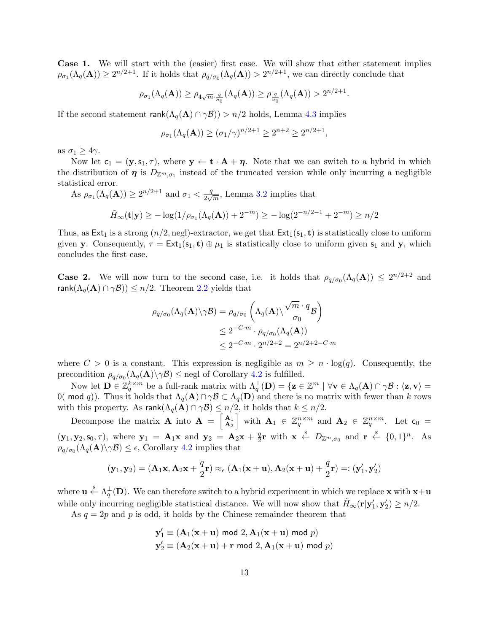Case 1. We will start with the (easier) first case. We will show that either statement implies  $\rho_{\sigma_1}(\Lambda_q(\mathbf{A})) \geq 2^{n/2+1}$ . If it holds that  $\rho_{q/\sigma_0}(\Lambda_q(\mathbf{A})) > 2^{n/2+1}$ , we can directly conclude that

$$
\rho_{\sigma_1}(\Lambda_q(\mathbf{A})) \ge \rho_{4\sqrt{m}\cdot\frac{q}{\sigma_0}}(\Lambda_q(\mathbf{A})) \ge \rho_{\frac{q}{\sigma_0}}(\Lambda_q(\mathbf{A})) > 2^{n/2+1}.
$$

If the second statement  $rank(\Lambda_q(A) \cap \gamma \mathcal{B})) > n/2$  holds, Lemma [4.3](#page-9-1) implies

$$
\rho_{\sigma_1}(\Lambda_q(\mathbf{A})) \ge (\sigma_1/\gamma)^{n/2+1} \ge 2^{n+2} \ge 2^{n/2+1},
$$

as  $\sigma_1 \geq 4\gamma$ .

Now let  $c_1 = (\mathbf{y}, s_1, \tau)$ , where  $\mathbf{y} \leftarrow \mathbf{t} \cdot \mathbf{A} + \eta$ . Note that we can switch to a hybrid in which the distribution of  $\eta$  is  $D_{\mathbb{Z}^m,\sigma_1}$  instead of the truncated version while only incurring a negligible statistical error.

As  $\rho_{\sigma_1}(\Lambda_q(\mathbf{A})) \geq 2^{n/2+1}$  and  $\sigma_1 < \frac{q}{2\sqrt{n}}$  $\frac{q}{2\sqrt{m}}$ , Lemma [3.2](#page-7-2) implies that

$$
\tilde{H}_{\infty}(\mathbf{t}|\mathbf{y}) \ge -\log(1/\rho_{\sigma_1}(\Lambda_q(\mathbf{A})) + 2^{-m}) \ge -\log(2^{-n/2-1} + 2^{-m}) \ge n/2
$$

Thus, as  $Ext_1$  is a strong  $(n/2, \text{negl})$ -extractor, we get that  $Ext_1(s_1, t)$  is statistically close to uniform given y. Consequently,  $\tau = \text{Ext}_1(\mathbf{s}_1, \mathbf{t}) \oplus \mu_1$  is statistically close to uniform given  $\mathbf{s}_1$  and y, which concludes the first case.

**Case 2.** We will now turn to the second case, i.e. it holds that  $\rho_{q/\sigma_0}(\Lambda_q(A)) \leq 2^{n/2+2}$  and rank $(\Lambda_q(A) \cap \gamma \mathcal{B}) \leq n/2$ . Theorem [2.2](#page-6-0) yields that

$$
\rho_{q/\sigma_0}(\Lambda_q(\mathbf{A}) \setminus \gamma \mathcal{B}) = \rho_{q/\sigma_0} \left( \Lambda_q(\mathbf{A}) \setminus \frac{\sqrt{m} \cdot q}{\sigma_0} \mathcal{B} \right)
$$
  
\n
$$
\leq 2^{-C \cdot m} \cdot \rho_{q/\sigma_0}(\Lambda_q(\mathbf{A}))
$$
  
\n
$$
\leq 2^{-C \cdot m} \cdot 2^{n/2 + 2} = 2^{n/2 + 2 - C \cdot m}
$$

where  $C > 0$  is a constant. This expression is negligible as  $m \geq n \cdot \log(q)$ . Consequently, the precondition  $\rho_{q/\sigma_0}(\Lambda_q(\mathbf{A})\setminus \gamma \mathcal{B}) \le$  negl of Corollary [4.2](#page-8-2) is fulfilled.

Now let  $\mathbf{D} \in \mathbb{Z}_q^{k \times m}$  be a full-rank matrix with  $\Lambda_q^{\perp}(\mathbf{D}) = \{ \mathbf{z} \in \mathbb{Z}^m \mid \forall \mathbf{v} \in \Lambda_q(\mathbf{A}) \cap \gamma \mathcal{B} : \langle \mathbf{z}, \mathbf{v} \rangle = 0 \}$ 0( mod q)). Thus it holds that  $\Lambda_q(A) \cap \gamma B \subset \Lambda_q(D)$  and there is no matrix with fewer than k rows with this property. As  $rank(\Lambda_q(\mathbf{A}) \cap \gamma \mathcal{B}) \leq n/2$ , it holds that  $k \leq n/2$ .

Decompose the matrix **A** into  $\mathbf{A} = \begin{bmatrix} A_1 \\ A_2 \end{bmatrix}$  $\left[\begin{array}{rcl} \mathbf{A}_1 \ \mathbf{A}_2 \end{array} \right]$  with  $\mathbf{A}_1 \in \mathbb{Z}_q^{n \times m}$  and  $\mathbf{A}_2 \in \mathbb{Z}_q^{n \times m}$ . Let  $\mathsf{c}_0 =$  $({\bf y}_1, {\bf y}_2, {\bf s}_0, \tau)$ , where  ${\bf y}_1 = {\bf A}_1 {\bf x}$  and  ${\bf y}_2 = {\bf A}_2 {\bf x} + \frac{q}{2}$  $\frac{q}{2}$ **r** with  $\mathbf{x} \leftarrow \frac{s}{2} D_{\mathbb{Z}^m, \sigma_0}$  and  $\mathbf{r} \leftarrow \{0, 1\}^n$ . As  $\rho_{q/\sigma_0}(\Lambda_q(\mathbf{A})\backslash \gamma \mathcal{B}) \leq \epsilon$ , Corollary [4.2](#page-8-2) implies that

$$
(\mathbf{y}_1,\mathbf{y}_2)=(\mathbf{A}_1\mathbf{x},\mathbf{A}_2\mathbf{x}+\frac{q}{2}\mathbf{r})\approx_{\epsilon}(\mathbf{A}_1(\mathbf{x}+\mathbf{u}),\mathbf{A}_2(\mathbf{x}+\mathbf{u})+\frac{q}{2}\mathbf{r})=:(\mathbf{y}_1',\mathbf{y}_2')
$$

where  $\mathbf{u} \stackrel{\$}{\leftarrow} \Lambda_q^{\perp}(\mathbf{D})$ . We can therefore switch to a hybrid experiment in which we replace **x** with  $\mathbf{x}+\mathbf{u}$ while only incurring negligible statistical distance. We will now show that  $\tilde{H}_{\infty}(\mathbf{r}|\mathbf{y}'_1, \mathbf{y}'_2) \geq n/2$ .

As  $q = 2p$  and p is odd, it holds by the Chinese remainder theorem that

$$
\mathbf{y}'_1 \equiv (\mathbf{A}_1(\mathbf{x} + \mathbf{u}) \bmod 2, \mathbf{A}_1(\mathbf{x} + \mathbf{u}) \bmod p)
$$
  

$$
\mathbf{y}'_2 \equiv (\mathbf{A}_2(\mathbf{x} + \mathbf{u}) + \mathbf{r} \bmod 2, \mathbf{A}_1(\mathbf{x} + \mathbf{u}) \bmod p)
$$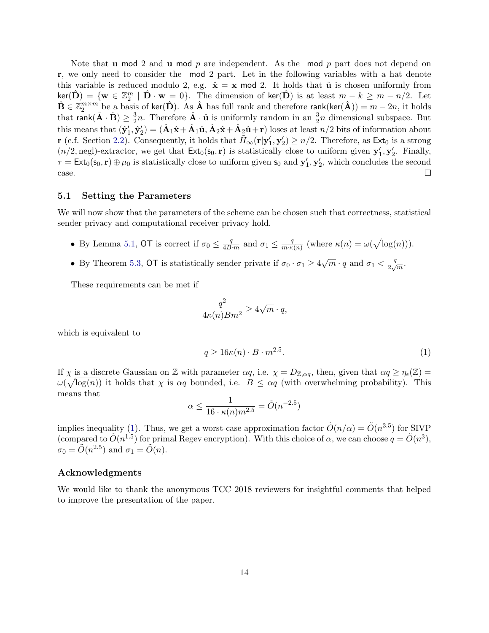Note that **u** mod 2 and **u** mod p are independent. As the mod p part does not depend on r, we only need to consider the mod 2 part. Let in the following variables with a hat denote this variable is reduced modulo 2, e.g.  $\hat{\mathbf{x}} = \mathbf{x} \mod 2$ . It holds that  $\hat{\mathbf{u}}$  is chosen uniformly from  $\ker(\hat{\mathbf{D}}) = \{ \mathbf{w} \in \mathbb{Z}_2^m \mid \hat{\mathbf{D}} \cdot \mathbf{w} = 0 \}.$  The dimension of  $\ker(\hat{\mathbf{D}})$  is at least  $m - k \ge m - n/2$ . Let  $\hat{\mathbf{B}} \in \mathbb{Z}_2^{m \times m}$  be a basis of ker( $\hat{\mathbf{D}}$ ). As  $\hat{\mathbf{A}}$  has full rank and therefore rank(ker( $\hat{\mathbf{A}}$ )) =  $m - 2n$ , it holds that rank $(\hat{\mathbf{A}} \cdot \hat{\mathbf{B}}) \geq \frac{3}{2}$  $\frac{3}{2}n$ . Therefore  $\hat{\mathbf{A}} \cdot \hat{\mathbf{u}}$  is uniformly random in an  $\frac{3}{2}n$  dimensional subspace. But this means that  $(\hat{\mathbf{y}}'_1, \hat{\mathbf{y}}'_2) = (\hat{\mathbf{A}}_1\hat{\mathbf{x}} + \hat{\mathbf{A}}_1\hat{\mathbf{u}}, \hat{\mathbf{A}}_2\hat{\mathbf{x}} + \hat{\mathbf{A}}_2\hat{\mathbf{u}} + \mathbf{r})$  loses at least  $n/2$  bits of information about r (c.f. Section [2.2\)](#page-4-0). Consequently, it holds that  $\tilde{H}_{\infty}(\mathbf{r}|\mathbf{y}'_1, \mathbf{y}'_2) \geq n/2$ . Therefore, as  $\text{Ext}_0$  is a strong  $(n/2, \text{negl})$ -extractor, we get that  $\text{Ext}_0(\mathbf{s}_0, \mathbf{r})$  is statistically close to uniform given  $\mathbf{y}'_1, \mathbf{y}'_2$ . Finally,  $\tau = \text{Ext}_0(\mathsf{s}_0, \mathbf{r}) \oplus \mu_0$  is statistically close to uniform given  $\mathsf{s}_0$  and  $\mathsf{y}'_1, \mathsf{y}'_2$ , which concludes the second case.  $\Box$ 

#### 5.1 Setting the Parameters

We will now show that the parameters of the scheme can be chosen such that correctness, statistical sender privacy and computational receiver privacy hold.

- By Lemma [5.1,](#page-10-0) OT is correct if  $\sigma_0 \leq \frac{q}{4B}$  $\frac{q}{4B\cdot m}$  and  $\sigma_1 \leq \frac{q}{m\cdot \kappa}$  $\frac{q}{m \cdot \kappa(n)}$  (where  $\kappa(n) = \omega(\sqrt{\log(n)})).$
- By Theorem [5.3,](#page-11-0) OT is statistically sender private if  $\sigma_0 \cdot \sigma_1 \ge 4\sqrt{m} \cdot q$  and  $\sigma_1 < \frac{q}{2\sqrt{m}}$  $\frac{q}{2\sqrt{m}}$ .

These requirements can be met if

$$
\frac{q^2}{4\kappa(n)Bm^2} \ge 4\sqrt{m} \cdot q,
$$

which is equivalent to

<span id="page-13-0"></span>
$$
q \ge 16\kappa(n) \cdot B \cdot m^{2.5}.\tag{1}
$$

If  $\chi$  is a discrete Gaussian on Z with parameter  $\alpha q$ , i.e.  $\chi = D_{\mathbb{Z}, \alpha q}$ , then, given that  $\alpha q \ge \eta_{\epsilon}(\mathbb{Z}) =$  $\omega(\sqrt{\log(n)})$  it holds that  $\chi$  is  $\alpha q$  bounded, i.e.  $B \leq \alpha q$  (with overwhelming probability). This means that

$$
\alpha \le \frac{1}{16 \cdot \kappa(n) m^{2.5}} = \tilde{O}(n^{-2.5})
$$

implies inequality [\(1\)](#page-13-0). Thus, we get a worst-case approximation factor  $\tilde{O}(n/\alpha) = \tilde{O}(n^{3.5})$  for SIVP (compared to  $\tilde{O}(n^{1.5})$  for primal Regev encryption). With this choice of  $\alpha$ , we can choose  $q = \tilde{O}(n^3)$ ,  $\sigma_0 = \tilde{O}(n^{2.5})$  and  $\sigma_1 = \tilde{O}(n)$ .

#### Acknowledgments

We would like to thank the anonymous TCC 2018 reviewers for insightful comments that helped to improve the presentation of the paper.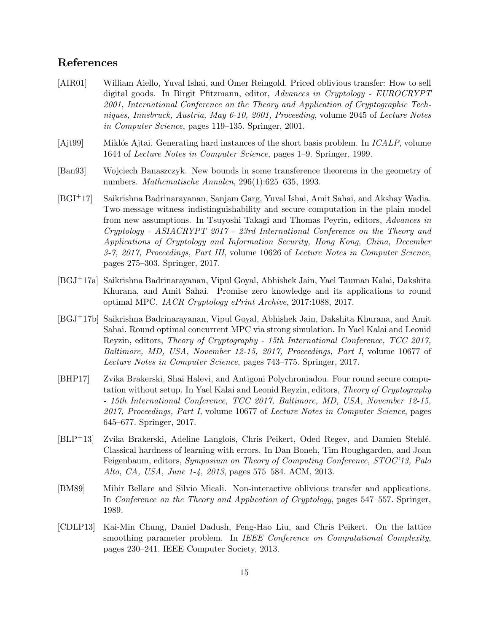# References

- <span id="page-14-1"></span>[AIR01] William Aiello, Yuval Ishai, and Omer Reingold. Priced oblivious transfer: How to sell digital goods. In Birgit Pfitzmann, editor, Advances in Cryptology - EUROCRYPT 2001, International Conference on the Theory and Application of Cryptographic Techniques, Innsbruck, Austria, May 6-10, 2001, Proceeding, volume 2045 of Lecture Notes in Computer Science, pages 119–135. Springer, 2001.
- <span id="page-14-6"></span> $[A]$ t = Miklós Ajtai. Generating hard instances of the short basis problem. In  $ICALP$ , volume 1644 of Lecture Notes in Computer Science, pages 1–9. Springer, 1999.
- <span id="page-14-7"></span>[Ban93] Wojciech Banaszczyk. New bounds in some transference theorems in the geometry of numbers. Mathematische Annalen, 296(1):625–635, 1993.
- <span id="page-14-2"></span>[BGI+17] Saikrishna Badrinarayanan, Sanjam Garg, Yuval Ishai, Amit Sahai, and Akshay Wadia. Two-message witness indistinguishability and secure computation in the plain model from new assumptions. In Tsuyoshi Takagi and Thomas Peyrin, editors, Advances in Cryptology - ASIACRYPT 2017 - 23rd International Conference on the Theory and Applications of Cryptology and Information Security, Hong Kong, China, December 3-7, 2017, Proceedings, Part III, volume 10626 of Lecture Notes in Computer Science, pages 275–303. Springer, 2017.
- <span id="page-14-3"></span>[BGJ+17a] Saikrishna Badrinarayanan, Vipul Goyal, Abhishek Jain, Yael Tauman Kalai, Dakshita Khurana, and Amit Sahai. Promise zero knowledge and its applications to round optimal MPC. IACR Cryptology ePrint Archive, 2017:1088, 2017.
- <span id="page-14-4"></span>[BGJ+17b] Saikrishna Badrinarayanan, Vipul Goyal, Abhishek Jain, Dakshita Khurana, and Amit Sahai. Round optimal concurrent MPC via strong simulation. In Yael Kalai and Leonid Reyzin, editors, Theory of Cryptography - 15th International Conference, TCC 2017, Baltimore, MD, USA, November 12-15, 2017, Proceedings, Part I, volume 10677 of Lecture Notes in Computer Science, pages 743–775. Springer, 2017.
- <span id="page-14-5"></span>[BHP17] Zvika Brakerski, Shai Halevi, and Antigoni Polychroniadou. Four round secure computation without setup. In Yael Kalai and Leonid Reyzin, editors, Theory of Cryptography - 15th International Conference, TCC 2017, Baltimore, MD, USA, November 12-15, 2017, Proceedings, Part I, volume 10677 of Lecture Notes in Computer Science, pages 645–677. Springer, 2017.
- <span id="page-14-8"></span>[BLP+13] Zvika Brakerski, Adeline Langlois, Chris Peikert, Oded Regev, and Damien Stehl´e. Classical hardness of learning with errors. In Dan Boneh, Tim Roughgarden, and Joan Feigenbaum, editors, Symposium on Theory of Computing Conference, STOC'13, Palo Alto, CA, USA, June 1-4, 2013, pages 575–584. ACM, 2013.
- <span id="page-14-0"></span>[BM89] Mihir Bellare and Silvio Micali. Non-interactive oblivious transfer and applications. In Conference on the Theory and Application of Cryptology, pages 547–557. Springer, 1989.
- <span id="page-14-9"></span>[CDLP13] Kai-Min Chung, Daniel Dadush, Feng-Hao Liu, and Chris Peikert. On the lattice smoothing parameter problem. In IEEE Conference on Computational Complexity, pages 230–241. IEEE Computer Society, 2013.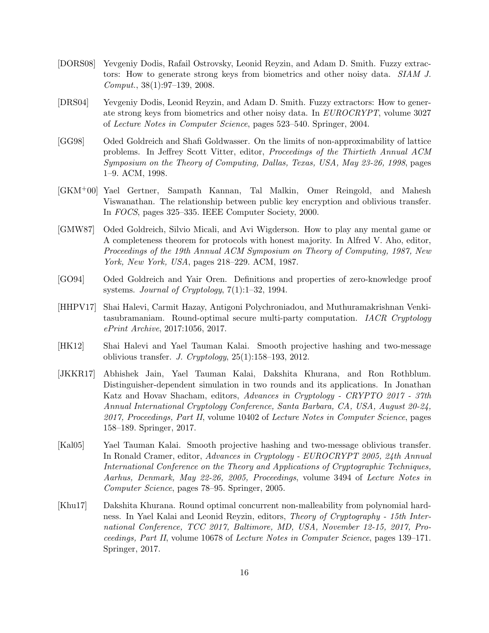- <span id="page-15-10"></span>[DORS08] Yevgeniy Dodis, Rafail Ostrovsky, Leonid Reyzin, and Adam D. Smith. Fuzzy extractors: How to generate strong keys from biometrics and other noisy data. SIAM J. Comput., 38(1):97–139, 2008.
- <span id="page-15-9"></span>[DRS04] Yevgeniy Dodis, Leonid Reyzin, and Adam D. Smith. Fuzzy extractors: How to generate strong keys from biometrics and other noisy data. In EUROCRYPT, volume 3027 of Lecture Notes in Computer Science, pages 523–540. Springer, 2004.
- <span id="page-15-8"></span>[GG98] Oded Goldreich and Shafi Goldwasser. On the limits of non-approximability of lattice problems. In Jeffrey Scott Vitter, editor, Proceedings of the Thirtieth Annual ACM Symposium on the Theory of Computing, Dallas, Texas, USA, May 23-26, 1998, pages 1–9. ACM, 1998.
- <span id="page-15-1"></span>[GKM+00] Yael Gertner, Sampath Kannan, Tal Malkin, Omer Reingold, and Mahesh Viswanathan. The relationship between public key encryption and oblivious transfer. In FOCS, pages 325–335. IEEE Computer Society, 2000.
- <span id="page-15-0"></span>[GMW87] Oded Goldreich, Silvio Micali, and Avi Wigderson. How to play any mental game or A completeness theorem for protocols with honest majority. In Alfred V. Aho, editor, Proceedings of the 19th Annual ACM Symposium on Theory of Computing, 1987, New York, New York, USA, pages 218–229. ACM, 1987.
- <span id="page-15-2"></span>[GO94] Oded Goldreich and Yair Oren. Definitions and properties of zero-knowledge proof systems. Journal of Cryptology, 7(1):1–32, 1994.
- <span id="page-15-6"></span>[HHPV17] Shai Halevi, Carmit Hazay, Antigoni Polychroniadou, and Muthuramakrishnan Venkitasubramaniam. Round-optimal secure multi-party computation. IACR Cryptology ePrint Archive, 2017:1056, 2017.
- <span id="page-15-4"></span>[HK12] Shai Halevi and Yael Tauman Kalai. Smooth projective hashing and two-message oblivious transfer. J. Cryptology,  $25(1):158-193$ ,  $2012$ .
- <span id="page-15-5"></span>[JKKR17] Abhishek Jain, Yael Tauman Kalai, Dakshita Khurana, and Ron Rothblum. Distinguisher-dependent simulation in two rounds and its applications. In Jonathan Katz and Hovav Shacham, editors, Advances in Cryptology - CRYPTO 2017 - 37th Annual International Cryptology Conference, Santa Barbara, CA, USA, August 20-24, 2017, Proceedings, Part II, volume 10402 of Lecture Notes in Computer Science, pages 158–189. Springer, 2017.
- <span id="page-15-3"></span>[Kal05] Yael Tauman Kalai. Smooth projective hashing and two-message oblivious transfer. In Ronald Cramer, editor, Advances in Cryptology - EUROCRYPT 2005, 24th Annual International Conference on the Theory and Applications of Cryptographic Techniques, Aarhus, Denmark, May 22-26, 2005, Proceedings, volume 3494 of Lecture Notes in Computer Science, pages 78–95. Springer, 2005.
- <span id="page-15-7"></span>[Khu17] Dakshita Khurana. Round optimal concurrent non-malleability from polynomial hardness. In Yael Kalai and Leonid Reyzin, editors, Theory of Cryptography - 15th International Conference, TCC 2017, Baltimore, MD, USA, November 12-15, 2017, Proceedings, Part II, volume 10678 of Lecture Notes in Computer Science, pages 139–171. Springer, 2017.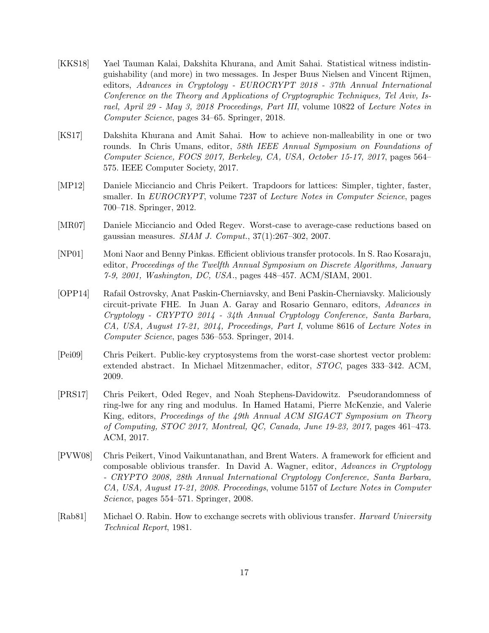- <span id="page-16-2"></span>[KKS18] Yael Tauman Kalai, Dakshita Khurana, and Amit Sahai. Statistical witness indistinguishability (and more) in two messages. In Jesper Buus Nielsen and Vincent Rijmen, editors, Advances in Cryptology - EUROCRYPT 2018 - 37th Annual International Conference on the Theory and Applications of Cryptographic Techniques, Tel Aviv, Israel, April 29 - May 3, 2018 Proceedings, Part III, volume 10822 of Lecture Notes in Computer Science, pages 34–65. Springer, 2018.
- <span id="page-16-3"></span>[KS17] Dakshita Khurana and Amit Sahai. How to achieve non-malleability in one or two rounds. In Chris Umans, editor, 58th IEEE Annual Symposium on Foundations of Computer Science, FOCS 2017, Berkeley, CA, USA, October 15-17, 2017, pages 564– 575. IEEE Computer Society, 2017.
- <span id="page-16-6"></span>[MP12] Daniele Micciancio and Chris Peikert. Trapdoors for lattices: Simpler, tighter, faster, smaller. In EUROCRYPT, volume 7237 of Lecture Notes in Computer Science, pages 700–718. Springer, 2012.
- <span id="page-16-9"></span>[MR07] Daniele Micciancio and Oded Regev. Worst-case to average-case reductions based on gaussian measures. SIAM J. Comput., 37(1):267–302, 2007.
- <span id="page-16-1"></span>[NP01] Moni Naor and Benny Pinkas. Efficient oblivious transfer protocols. In S. Rao Kosaraju, editor, Proceedings of the Twelfth Annual Symposium on Discrete Algorithms, January 7-9, 2001, Washington, DC, USA., pages 448–457. ACM/SIAM, 2001.
- <span id="page-16-4"></span>[OPP14] Rafail Ostrovsky, Anat Paskin-Cherniavsky, and Beni Paskin-Cherniavsky. Maliciously circuit-private FHE. In Juan A. Garay and Rosario Gennaro, editors, Advances in Cryptology - CRYPTO 2014 - 34th Annual Cryptology Conference, Santa Barbara, CA, USA, August 17-21, 2014, Proceedings, Part I, volume 8616 of Lecture Notes in Computer Science, pages 536–553. Springer, 2014.
- <span id="page-16-8"></span>[Pei09] Chris Peikert. Public-key cryptosystems from the worst-case shortest vector problem: extended abstract. In Michael Mitzenmacher, editor, STOC, pages 333–342. ACM, 2009.
- <span id="page-16-7"></span>[PRS17] Chris Peikert, Oded Regev, and Noah Stephens-Davidowitz. Pseudorandomness of ring-lwe for any ring and modulus. In Hamed Hatami, Pierre McKenzie, and Valerie King, editors, Proceedings of the 49th Annual ACM SIGACT Symposium on Theory of Computing, STOC 2017, Montreal, QC, Canada, June 19-23, 2017, pages 461–473. ACM, 2017.
- <span id="page-16-5"></span>[PVW08] Chris Peikert, Vinod Vaikuntanathan, and Brent Waters. A framework for efficient and composable oblivious transfer. In David A. Wagner, editor, Advances in Cryptology - CRYPTO 2008, 28th Annual International Cryptology Conference, Santa Barbara, CA, USA, August 17-21, 2008. Proceedings, volume 5157 of Lecture Notes in Computer Science, pages 554–571. Springer, 2008.
- <span id="page-16-0"></span>Rab81 Michael O. Rabin. How to exchange secrets with oblivious transfer. *Harvard University* Technical Report, 1981.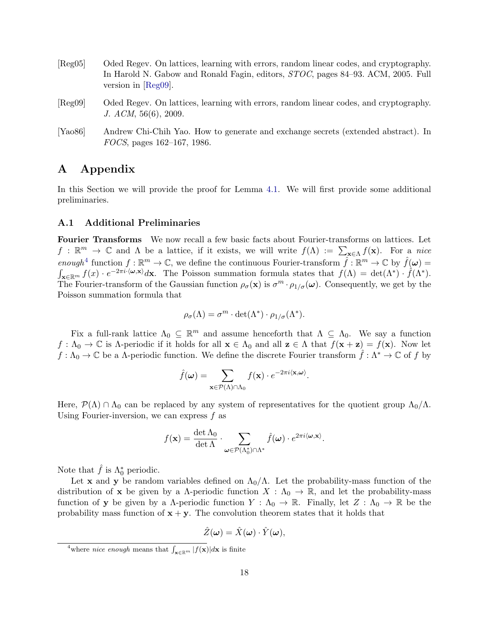<span id="page-17-3"></span><span id="page-17-1"></span>

| [Reg05]              | Oded Regev. On lattices, learning with errors, random linear codes, and cryptography.<br>In Harold N. Gabow and Ronald Fagin, editors, <i>STOC</i> , pages 84–93. ACM, 2005. Full<br>version in $[Reg09]$ . |
|----------------------|-------------------------------------------------------------------------------------------------------------------------------------------------------------------------------------------------------------|
| [Reg09]              | Oded Regev. On lattices, learning with errors, random linear codes, and cryptography.<br>J. ACM, 56(6), 2009.                                                                                               |
| [Ya <sub>0</sub> 86] | Andrew Chi-Chih Yao. How to generate and exchange secrets (extended abstract). In                                                                                                                           |

# <span id="page-17-2"></span><span id="page-17-0"></span>A Appendix

In this Section we will provide the proof for Lemma [4.1.](#page-8-1) We will first provide some additional preliminaries.

### A.1 Additional Preliminaries

FOCS, pages 162–167, 1986.

Fourier Transforms We now recall a few basic facts about Fourier-transforms on lattices. Let  $f : \mathbb{R}^m \to \mathbb{C}$  and  $\Lambda$  be a lattice, if it exists, we will write  $f(\Lambda) := \sum_{\mathbf{x} \in \Lambda} f(\mathbf{x})$ . For a nice enough<sup>[4](#page-17-4)</sup> function  $f : \mathbb{R}^m \to \mathbb{C}$ , we define the continuous Fourier-transform  $\hat{f} : \mathbb{R}^m \to \mathbb{C}$  by  $\hat{f}(\omega) =$  $\int_{\mathbf{x}\in\mathbb{R}^m} f(x) \cdot e^{-2\pi i \cdot \langle \boldsymbol{\omega}, \mathbf{x} \rangle} d\mathbf{x}$ . The Poisson summation formula states that  $f(\Lambda) = \det(\Lambda^*) \cdot \hat{f}(\Lambda^*)$ . The Fourier-transform of the Gaussian function  $\rho_{\sigma}(\mathbf{x})$  is  $\sigma^m \cdot \rho_{1/\sigma}(\omega)$ . Consequently, we get by the Poisson summation formula that

$$
\rho_{\sigma}(\Lambda) = \sigma^m \cdot \det(\Lambda^*) \cdot \rho_{1/\sigma}(\Lambda^*).
$$

Fix a full-rank lattice  $\Lambda_0 \subseteq \mathbb{R}^m$  and assume henceforth that  $\Lambda \subseteq \Lambda_0$ . We say a function  $f: \Lambda_0 \to \mathbb{C}$  is A-periodic if it holds for all  $\mathbf{x} \in \Lambda_0$  and all  $\mathbf{z} \in \Lambda$  that  $f(\mathbf{x} + \mathbf{z}) = f(\mathbf{x})$ . Now let  $f: \Lambda_0 \to \mathbb{C}$  be a  $\Lambda$ -periodic function. We define the discrete Fourier transform  $\hat{f}: \Lambda^* \to \mathbb{C}$  of f by

$$
\hat{f}(\boldsymbol{\omega}) = \sum_{\mathbf{x} \in \mathcal{P}(\Lambda) \cap \Lambda_0} f(\mathbf{x}) \cdot e^{-2\pi i \langle \mathbf{x}, \boldsymbol{\omega} \rangle}.
$$

Here,  $\mathcal{P}(\Lambda) \cap \Lambda_0$  can be replaced by any system of representatives for the quotient group  $\Lambda_0/\Lambda$ . Using Fourier-inversion, we can express  $f$  as

$$
f(\mathbf{x}) = \frac{\det \Lambda_0}{\det \Lambda} \cdot \sum_{\omega \in \mathcal{P}(\Lambda_0^*) \cap \Lambda^*} \hat{f}(\omega) \cdot e^{2\pi i \langle \omega, \mathbf{x} \rangle}.
$$

Note that  $\hat{f}$  is  $\Lambda_0^*$  periodic.

Let x and y be random variables defined on  $\Lambda_0/\Lambda$ . Let the probability-mass function of the distribution of x be given by a  $\Lambda$ -periodic function  $X : \Lambda_0 \to \mathbb{R}$ , and let the probability-mass function of y be given by a  $\Lambda$ -periodic function  $Y : \Lambda_0 \to \mathbb{R}$ . Finally, let  $Z : \Lambda_0 \to \mathbb{R}$  be the probability mass function of  $x + y$ . The convolution theorem states that it holds that

$$
\hat{Z}(\boldsymbol{\omega}) = \hat{X}(\boldsymbol{\omega}) \cdot \hat{Y}(\boldsymbol{\omega}),
$$

<span id="page-17-4"></span><sup>&</sup>lt;sup>4</sup>where *nice enough* means that  $\int_{\mathbf{x}\in\mathbb{R}^m} |f(\mathbf{x})|d\mathbf{x}$  is finite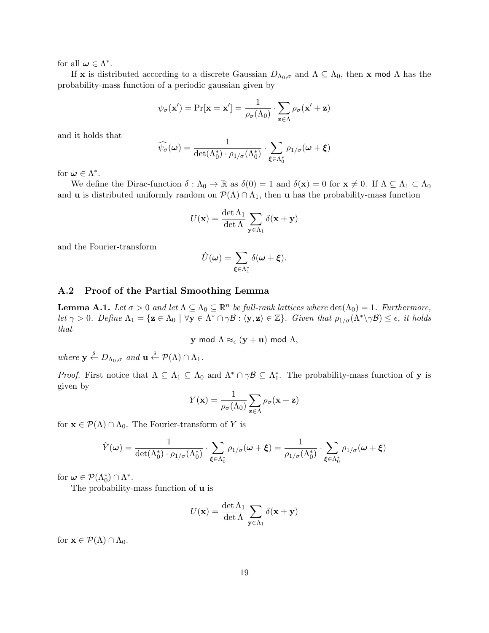for all  $\boldsymbol{\omega} \in \Lambda^*$ .

If x is distributed according to a discrete Gaussian  $D_{\Lambda_0,\sigma}$  and  $\Lambda \subseteq \Lambda_0$ , then x mod  $\Lambda$  has the probability-mass function of a periodic gaussian given by

$$
\psi_{\sigma}(\mathbf{x}') = \Pr[\mathbf{x} = \mathbf{x}'] = \frac{1}{\rho_{\sigma}(\Lambda_0)} \cdot \sum_{\mathbf{z} \in \Lambda} \rho_{\sigma}(\mathbf{x}' + \mathbf{z})
$$

and it holds that

$$
\widehat{\psi_{\sigma}}(\boldsymbol{\omega}) = \frac{1}{\det(\Lambda_0^*) \cdot \rho_{1/\sigma}(\Lambda_0^*)} \cdot \sum_{\boldsymbol{\xi} \in \Lambda_0^*} \rho_{1/\sigma}(\boldsymbol{\omega} + \boldsymbol{\xi})
$$

for  $\boldsymbol{\omega} \in \Lambda^*$ .

We define the Dirac-function  $\delta : \Lambda_0 \to \mathbb{R}$  as  $\delta(0) = 1$  and  $\delta(\mathbf{x}) = 0$  for  $\mathbf{x} \neq 0$ . If  $\Lambda \subseteq \Lambda_1 \subset \Lambda_0$ and **u** is distributed uniformly random on  $\mathcal{P}(\Lambda) \cap \Lambda_1$ , then **u** has the probability-mass function

$$
U(\mathbf{x}) = \frac{\det \Lambda_1}{\det \Lambda} \sum_{\mathbf{y} \in \Lambda_1} \delta(\mathbf{x} + \mathbf{y})
$$

and the Fourier-transform

$$
\hat{U}(\boldsymbol{\omega}) = \sum_{\boldsymbol{\xi} \in \Lambda_1^*} \delta(\boldsymbol{\omega} + \boldsymbol{\xi}).
$$

### A.2 Proof of the Partial Smoothing Lemma

**Lemma A.1.** Let  $\sigma > 0$  and let  $\Lambda \subseteq \Lambda_0 \subseteq \mathbb{R}^n$  be full-rank lattices where  $\det(\Lambda_0) = 1$ . Furthermore, let  $\gamma > 0$ . Define  $\Lambda_1 = \{ \mathbf{z} \in \Lambda_0 \mid \forall \mathbf{y} \in \Lambda^* \cap \gamma \mathcal{B} : \langle \mathbf{y}, \mathbf{z} \rangle \in \mathbb{Z} \}$ . Given that  $\rho_{1/\sigma}(\Lambda^* \setminus \gamma \mathcal{B}) \leq \epsilon$ , it holds that

**y** mod  $\Lambda \approx_{\epsilon} (\mathbf{v} + \mathbf{u})$  mod  $\Lambda$ ,

where  $y \stackrel{\$}{\leftarrow} D_{\Lambda_0, \sigma}$  and  $u \stackrel{\$}{\leftarrow} \mathcal{P}(\Lambda) \cap \Lambda_1$ .

*Proof.* First notice that  $\Lambda \subseteq \Lambda_1 \subseteq \Lambda_0$  and  $\Lambda^* \cap \gamma \mathcal{B} \subseteq \Lambda_1^*$ . The probability-mass function of **y** is given by

$$
Y(\mathbf{x}) = \frac{1}{\rho_{\sigma}(\Lambda_0)} \sum_{\mathbf{z} \in \Lambda} \rho_{\sigma}(\mathbf{x} + \mathbf{z})
$$

for  $\mathbf{x} \in \mathcal{P}(\Lambda) \cap \Lambda_0$ . The Fourier-transform of Y is

$$
\hat{Y}(\omega) = \frac{1}{\det(\Lambda_0^*) \cdot \rho_{1/\sigma}(\Lambda_0^*)} \cdot \sum_{\xi \in \Lambda_0^*} \rho_{1/\sigma}(\omega + \xi) = \frac{1}{\rho_{1/\sigma}(\Lambda_0^*)} \cdot \sum_{\xi \in \Lambda_0^*} \rho_{1/\sigma}(\omega + \xi)
$$

for  $\omega \in \mathcal{P}(\Lambda_0^*) \cap \Lambda^*$ .

The probability-mass function of u is

$$
U(\mathbf{x}) = \frac{\det \Lambda_1}{\det \Lambda} \sum_{\mathbf{y} \in \Lambda_1} \delta(\mathbf{x} + \mathbf{y})
$$

for  $\mathbf{x} \in \mathcal{P}(\Lambda) \cap \Lambda_0$ .